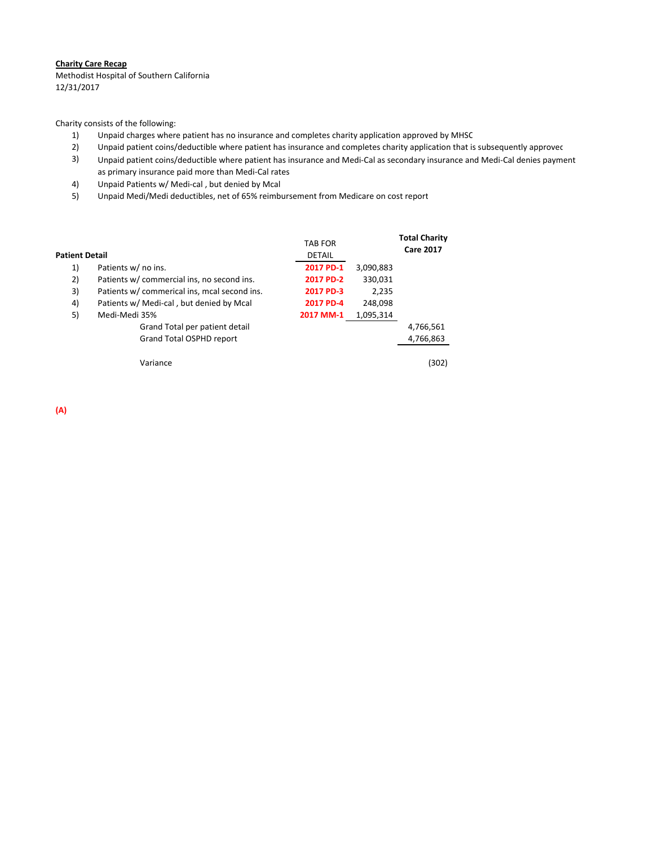## **Charity Care Recap**

 Methodist Hospital of Southern California 12/31/2017

Charity consists of the following:

- 1) Unpaid charges where patient has no insurance and completes charity application approved by MHSC
- 2) Unpaid patient coins/deductible where patient has insurance and completes charity application that is subsequently approved
- 3) Unpaid patient coins/deductible where patient has insurance and Medi‐Cal as secondary insurance and Medi‐Cal denies payment as primary insurance paid more than Medi‐Cal rates
- 4) Unpaid Patients w/ Medi‐cal , but denied by Mcal
- 5) Unpaid Medi/Medi deductibles, net of 65% reimbursement from Medicare on cost report

| Patient Detail |                                              | <b>TAB FOR</b><br><b>DETAIL</b> |           | <b>Total Charity</b><br><b>Care 2017</b> |
|----------------|----------------------------------------------|---------------------------------|-----------|------------------------------------------|
| 1)             | Patients w/ no ins.                          | 2017 PD-1                       | 3,090,883 |                                          |
| 2)             | Patients w/ commercial ins, no second ins.   | 2017 PD-2                       | 330,031   |                                          |
| 3)             | Patients w/ commerical ins, mcal second ins. | 2017 PD-3                       | 2,235     |                                          |
| 4)             | Patients w/ Medi-cal, but denied by Mcal     | 2017 PD-4                       | 248,098   |                                          |
| 5)             | Medi-Medi 35%                                | 2017 MM-1                       | 1,095,314 |                                          |
|                | Grand Total per patient detail               |                                 |           | 4,766,561                                |
|                | Grand Total OSPHD report                     |                                 |           | 4,766,863                                |
|                | Variance                                     |                                 |           | (302)                                    |

**(A)**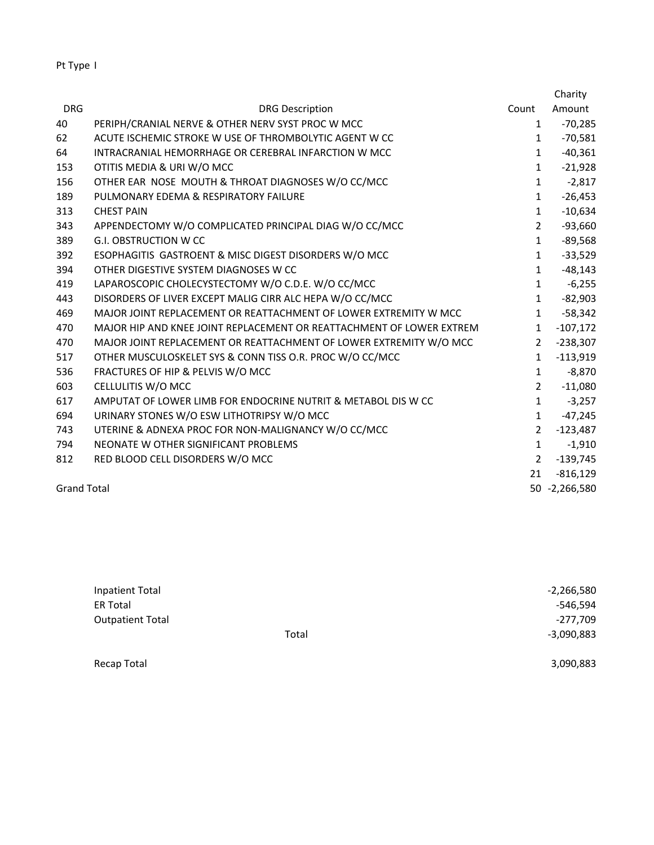| v<br>ır. |  |
|----------|--|
|----------|--|

|                    |                                                                      |                | Charity       |
|--------------------|----------------------------------------------------------------------|----------------|---------------|
| <b>DRG</b>         | <b>DRG Description</b>                                               | Count          | Amount        |
| 40                 | PERIPH/CRANIAL NERVE & OTHER NERV SYST PROC W MCC                    | $\mathbf{1}$   | $-70,285$     |
| 62                 | ACUTE ISCHEMIC STROKE W USE OF THROMBOLYTIC AGENT W CC               | $\mathbf{1}$   | $-70,581$     |
| 64                 | INTRACRANIAL HEMORRHAGE OR CEREBRAL INFARCTION W MCC                 | $\mathbf{1}$   | $-40,361$     |
| 153                | OTITIS MEDIA & URI W/O MCC                                           | $\mathbf{1}$   | $-21,928$     |
| 156                | OTHER EAR NOSE MOUTH & THROAT DIAGNOSES W/O CC/MCC                   | $\mathbf{1}$   | $-2,817$      |
| 189                | PULMONARY EDEMA & RESPIRATORY FAILURE                                | $\mathbf{1}$   | $-26,453$     |
| 313                | <b>CHEST PAIN</b>                                                    | $\mathbf{1}$   | $-10,634$     |
| 343                | APPENDECTOMY W/O COMPLICATED PRINCIPAL DIAG W/O CC/MCC               | $\overline{2}$ | $-93,660$     |
| 389                | <b>G.I. OBSTRUCTION W CC</b>                                         | $\mathbf{1}$   | $-89,568$     |
| 392                | ESOPHAGITIS GASTROENT & MISC DIGEST DISORDERS W/O MCC                | $\mathbf{1}$   | $-33,529$     |
| 394                | OTHER DIGESTIVE SYSTEM DIAGNOSES W CC                                | $\mathbf{1}$   | $-48,143$     |
| 419                | LAPAROSCOPIC CHOLECYSTECTOMY W/O C.D.E. W/O CC/MCC                   | $\mathbf{1}$   | $-6,255$      |
| 443                | DISORDERS OF LIVER EXCEPT MALIG CIRR ALC HEPA W/O CC/MCC             | $\mathbf{1}$   | $-82,903$     |
| 469                | MAJOR JOINT REPLACEMENT OR REATTACHMENT OF LOWER EXTREMITY W MCC     | $\mathbf{1}$   | $-58,342$     |
| 470                | MAJOR HIP AND KNEE JOINT REPLACEMENT OR REATTACHMENT OF LOWER EXTREM | $\mathbf{1}$   | $-107,172$    |
| 470                | MAJOR JOINT REPLACEMENT OR REATTACHMENT OF LOWER EXTREMITY W/O MCC   | $\overline{2}$ | $-238,307$    |
| 517                | OTHER MUSCULOSKELET SYS & CONN TISS O.R. PROC W/O CC/MCC             | $\mathbf{1}$   | $-113,919$    |
| 536                | FRACTURES OF HIP & PELVIS W/O MCC                                    | $\mathbf{1}$   | $-8,870$      |
| 603                | CELLULITIS W/O MCC                                                   | $\overline{2}$ | $-11,080$     |
| 617                | AMPUTAT OF LOWER LIMB FOR ENDOCRINE NUTRIT & METABOL DIS W CC        | $\mathbf{1}$   | $-3,257$      |
| 694                | URINARY STONES W/O ESW LITHOTRIPSY W/O MCC                           | $\mathbf{1}$   | $-47,245$     |
| 743                | UTERINE & ADNEXA PROC FOR NON-MALIGNANCY W/O CC/MCC                  | $\overline{2}$ | $-123,487$    |
| 794                | NEONATE W OTHER SIGNIFICANT PROBLEMS                                 | $\mathbf{1}$   | $-1,910$      |
| 812                | RED BLOOD CELL DISORDERS W/O MCC                                     | $\overline{2}$ | $-139,745$    |
|                    |                                                                      | 21             | $-816,129$    |
| <b>Grand Total</b> |                                                                      |                | 50 -2,266,580 |

| Inpatient Total         |       | $-2,266,580$ |
|-------------------------|-------|--------------|
| <b>ER Total</b>         |       | -546,594     |
| <b>Outpatient Total</b> |       | -277,709     |
|                         | Total | $-3,090,883$ |
|                         |       |              |

Recap Total 3,090,883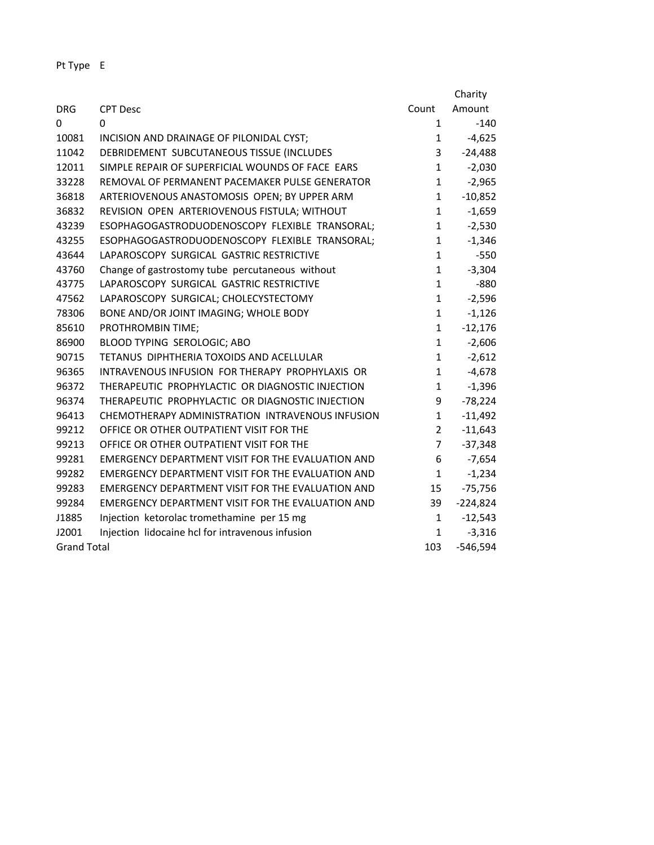| Pt<br>Type |  |
|------------|--|
|------------|--|

|                    |                                                          |                | Charity    |
|--------------------|----------------------------------------------------------|----------------|------------|
| <b>DRG</b>         | <b>CPT Desc</b>                                          | Count          | Amount     |
| $\Omega$           | 0                                                        | $\mathbf{1}$   | $-140$     |
| 10081              | INCISION AND DRAINAGE OF PILONIDAL CYST;                 | $\mathbf{1}$   | $-4,625$   |
| 11042              | DEBRIDEMENT SUBCUTANEOUS TISSUE (INCLUDES                | 3              | $-24,488$  |
| 12011              | SIMPLE REPAIR OF SUPERFICIAL WOUNDS OF FACE EARS         | $\mathbf{1}$   | $-2,030$   |
| 33228              | REMOVAL OF PERMANENT PACEMAKER PULSE GENERATOR           | $\mathbf{1}$   | $-2,965$   |
| 36818              | ARTERIOVENOUS ANASTOMOSIS OPEN; BY UPPER ARM             | $\mathbf{1}$   | $-10,852$  |
| 36832              | REVISION OPEN ARTERIOVENOUS FISTULA; WITHOUT             | $\mathbf{1}$   | $-1,659$   |
| 43239              | ESOPHAGOGASTRODUODENOSCOPY FLEXIBLE TRANSORAL;           | $\mathbf{1}$   | $-2,530$   |
| 43255              | ESOPHAGOGASTRODUODENOSCOPY FLEXIBLE TRANSORAL;           | $\mathbf{1}$   | $-1,346$   |
| 43644              | LAPAROSCOPY SURGICAL GASTRIC RESTRICTIVE                 | $\mathbf{1}$   | $-550$     |
| 43760              | Change of gastrostomy tube percutaneous without          | $\mathbf{1}$   | $-3,304$   |
| 43775              | LAPAROSCOPY SURGICAL GASTRIC RESTRICTIVE                 | $\mathbf{1}$   | $-880$     |
| 47562              | LAPAROSCOPY SURGICAL; CHOLECYSTECTOMY                    | $\mathbf{1}$   | $-2,596$   |
| 78306              | BONE AND/OR JOINT IMAGING; WHOLE BODY                    | $\mathbf{1}$   | $-1,126$   |
| 85610              | PROTHROMBIN TIME;                                        | $\mathbf{1}$   | $-12,176$  |
| 86900              | BLOOD TYPING SEROLOGIC; ABO                              | $\mathbf{1}$   | $-2,606$   |
| 90715              | TETANUS DIPHTHERIA TOXOIDS AND ACELLULAR                 | $\mathbf{1}$   | $-2,612$   |
| 96365              | INTRAVENOUS INFUSION FOR THERAPY PROPHYLAXIS OR          | $\mathbf{1}$   | $-4,678$   |
| 96372              | THERAPEUTIC PROPHYLACTIC OR DIAGNOSTIC INJECTION         | $\mathbf{1}$   | $-1,396$   |
| 96374              | THERAPEUTIC PROPHYLACTIC OR DIAGNOSTIC INJECTION         | 9              | $-78,224$  |
| 96413              | CHEMOTHERAPY ADMINISTRATION INTRAVENOUS INFUSION         | $\mathbf{1}$   | $-11,492$  |
| 99212              | OFFICE OR OTHER OUTPATIENT VISIT FOR THE                 | $\overline{2}$ | $-11,643$  |
| 99213              | OFFICE OR OTHER OUTPATIENT VISIT FOR THE                 | $\overline{7}$ | $-37,348$  |
| 99281              | <b>EMERGENCY DEPARTMENT VISIT FOR THE EVALUATION AND</b> | 6              | $-7,654$   |
| 99282              | <b>EMERGENCY DEPARTMENT VISIT FOR THE EVALUATION AND</b> | $\mathbf{1}$   | $-1,234$   |
| 99283              | EMERGENCY DEPARTMENT VISIT FOR THE EVALUATION AND        | 15             | $-75,756$  |
| 99284              | EMERGENCY DEPARTMENT VISIT FOR THE EVALUATION AND        | 39             | $-224,824$ |
| J1885              | Injection ketorolac tromethamine per 15 mg               | $\mathbf{1}$   | $-12,543$  |
| J2001              | Injection lidocaine hcl for intravenous infusion         | $\mathbf{1}$   | $-3,316$   |
| <b>Grand Total</b> |                                                          | 103            | $-546,594$ |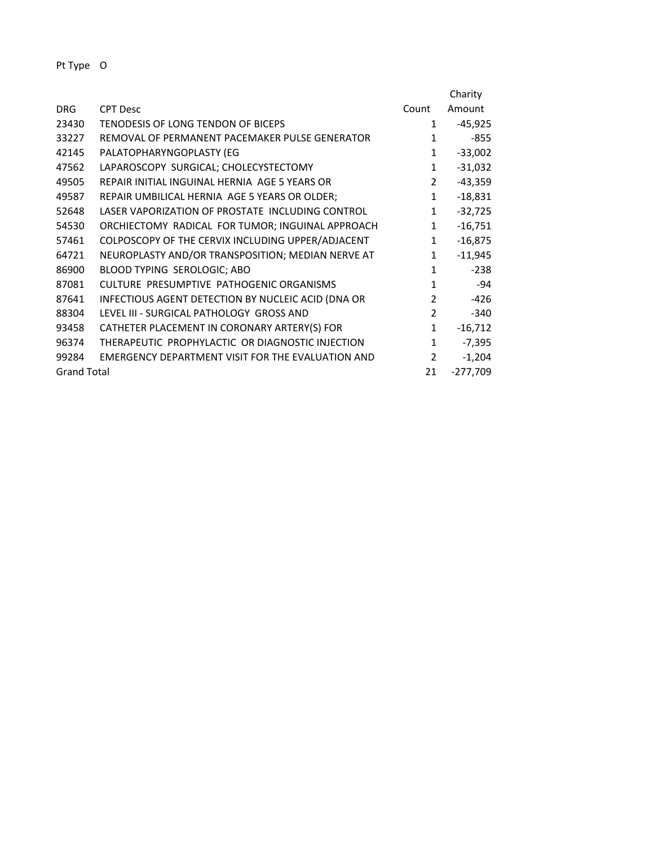|                    |                                                    |                | Charity    |
|--------------------|----------------------------------------------------|----------------|------------|
| <b>DRG</b>         | <b>CPT Desc</b>                                    | Count          | Amount     |
| 23430              | TENODESIS OF LONG TENDON OF BICEPS                 | 1              | $-45,925$  |
| 33227              | REMOVAL OF PERMANENT PACEMAKER PULSE GENERATOR     | $\mathbf{1}$   | $-855$     |
| 42145              | PALATOPHARYNGOPLASTY (EG                           | $\mathbf{1}$   | $-33,002$  |
| 47562              | LAPAROSCOPY SURGICAL; CHOLECYSTECTOMY              | $\mathbf{1}$   | $-31,032$  |
| 49505              | REPAIR INITIAL INGUINAL HERNIA AGE 5 YEARS OR      | $\overline{2}$ | $-43,359$  |
| 49587              | REPAIR UMBILICAL HERNIA AGE 5 YEARS OR OLDER;      | $\mathbf{1}$   | $-18,831$  |
| 52648              | LASER VAPORIZATION OF PROSTATE INCLUDING CONTROL   | $\mathbf{1}$   | $-32,725$  |
| 54530              | ORCHIECTOMY RADICAL FOR TUMOR; INGUINAL APPROACH   | $\mathbf{1}$   | $-16,751$  |
| 57461              | COLPOSCOPY OF THE CERVIX INCLUDING UPPER/ADJACENT  | $\mathbf{1}$   | $-16,875$  |
| 64721              | NEUROPLASTY AND/OR TRANSPOSITION; MEDIAN NERVE AT  | $\mathbf{1}$   | $-11,945$  |
| 86900              | BLOOD TYPING SEROLOGIC; ABO                        | $\mathbf{1}$   | $-238$     |
| 87081              | CULTURE PRESUMPTIVE PATHOGENIC ORGANISMS           | $\mathbf{1}$   | $-94$      |
| 87641              | INFECTIOUS AGENT DETECTION BY NUCLEIC ACID (DNA OR | $\mathcal{P}$  | $-426$     |
| 88304              | LEVEL III - SURGICAL PATHOLOGY GROSS AND           | $\mathcal{P}$  | $-340$     |
| 93458              | CATHETER PLACEMENT IN CORONARY ARTERY(S) FOR       | $\mathbf{1}$   | $-16,712$  |
| 96374              | THERAPEUTIC PROPHYLACTIC OR DIAGNOSTIC INJECTION   | $\mathbf{1}$   | $-7,395$   |
| 99284              | EMERGENCY DEPARTMENT VISIT FOR THE EVALUATION AND  | $\overline{2}$ | $-1,204$   |
| <b>Grand Total</b> |                                                    | 21             | $-277,709$ |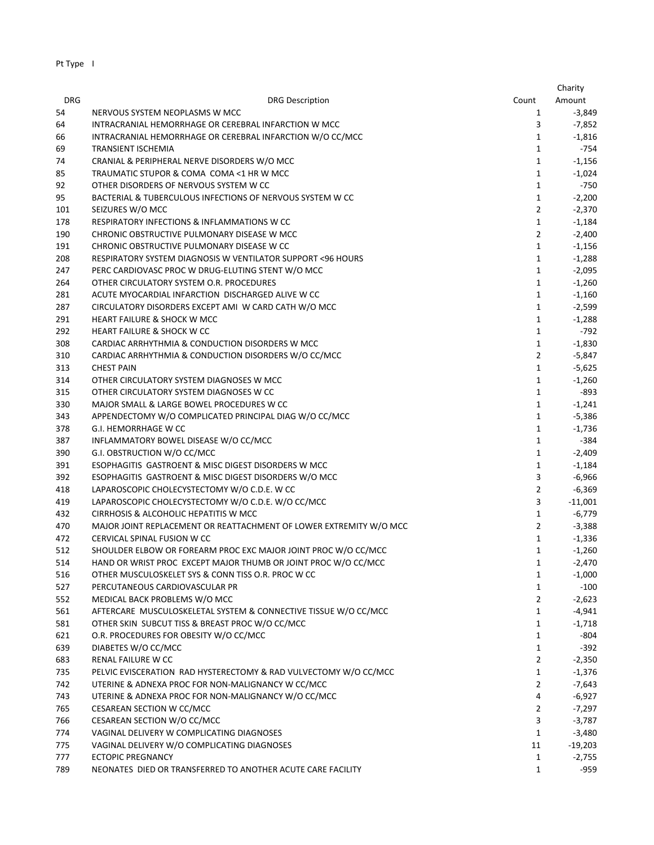|            |                                                                    |                | Charity   |
|------------|--------------------------------------------------------------------|----------------|-----------|
| <b>DRG</b> | <b>DRG Description</b>                                             | Count          | Amount    |
| 54         | NERVOUS SYSTEM NEOPLASMS W MCC                                     | $\mathbf{1}$   | $-3,849$  |
| 64         | INTRACRANIAL HEMORRHAGE OR CEREBRAL INFARCTION W MCC               | 3              | $-7,852$  |
| 66         | INTRACRANIAL HEMORRHAGE OR CEREBRAL INFARCTION W/O CC/MCC          | $\mathbf{1}$   | $-1,816$  |
| 69         | <b>TRANSIENT ISCHEMIA</b>                                          | 1              | $-754$    |
| 74         | CRANIAL & PERIPHERAL NERVE DISORDERS W/O MCC                       | $\mathbf{1}$   | $-1,156$  |
| 85         | TRAUMATIC STUPOR & COMA COMA <1 HR W MCC                           | $\mathbf{1}$   | $-1,024$  |
| 92         | OTHER DISORDERS OF NERVOUS SYSTEM W CC                             | $\mathbf{1}$   | $-750$    |
| 95         | BACTERIAL & TUBERCULOUS INFECTIONS OF NERVOUS SYSTEM W CC          | $\mathbf{1}$   |           |
|            | SEIZURES W/O MCC                                                   | $\overline{2}$ | $-2,200$  |
| 101        |                                                                    | $\mathbf{1}$   | $-2,370$  |
| 178        | RESPIRATORY INFECTIONS & INFLAMMATIONS W CC                        |                | $-1,184$  |
| 190        | CHRONIC OBSTRUCTIVE PULMONARY DISEASE W MCC                        | $\overline{2}$ | $-2,400$  |
| 191        | CHRONIC OBSTRUCTIVE PULMONARY DISEASE W CC                         | $\mathbf 1$    | $-1,156$  |
| 208        | RESPIRATORY SYSTEM DIAGNOSIS W VENTILATOR SUPPORT <96 HOURS        | $\mathbf{1}$   | $-1,288$  |
| 247        | PERC CARDIOVASC PROC W DRUG-ELUTING STENT W/O MCC                  | $\mathbf{1}$   | $-2,095$  |
| 264        | OTHER CIRCULATORY SYSTEM O.R. PROCEDURES                           | $\mathbf{1}$   | $-1,260$  |
| 281        | ACUTE MYOCARDIAL INFARCTION DISCHARGED ALIVE W CC                  | $\mathbf{1}$   | $-1,160$  |
| 287        | CIRCULATORY DISORDERS EXCEPT AMI W CARD CATH W/O MCC               | $\mathbf{1}$   | $-2,599$  |
| 291        | <b>HEART FAILURE &amp; SHOCK W MCC</b>                             | $\mathbf{1}$   | $-1,288$  |
| 292        | <b>HEART FAILURE &amp; SHOCK W CC</b>                              | $\mathbf{1}$   | $-792$    |
| 308        | CARDIAC ARRHYTHMIA & CONDUCTION DISORDERS W MCC                    | $\mathbf{1}$   | $-1,830$  |
| 310        | CARDIAC ARRHYTHMIA & CONDUCTION DISORDERS W/O CC/MCC               | $\overline{2}$ | $-5,847$  |
| 313        | <b>CHEST PAIN</b>                                                  | $\mathbf 1$    | $-5,625$  |
| 314        | OTHER CIRCULATORY SYSTEM DIAGNOSES W MCC                           | $\mathbf{1}$   | $-1,260$  |
| 315        | OTHER CIRCULATORY SYSTEM DIAGNOSES W CC                            | $\mathbf{1}$   | $-893$    |
| 330        | MAJOR SMALL & LARGE BOWEL PROCEDURES W CC                          | $\mathbf{1}$   | $-1,241$  |
| 343        | APPENDECTOMY W/O COMPLICATED PRINCIPAL DIAG W/O CC/MCC             | $\mathbf{1}$   | $-5,386$  |
| 378        | G.I. HEMORRHAGE W CC                                               | $\mathbf{1}$   | $-1,736$  |
| 387        | INFLAMMATORY BOWEL DISEASE W/O CC/MCC                              | 1              | -384      |
| 390        | G.I. OBSTRUCTION W/O CC/MCC                                        | $\mathbf{1}$   | $-2,409$  |
| 391        | ESOPHAGITIS GASTROENT & MISC DIGEST DISORDERS W MCC                | $\mathbf{1}$   | $-1,184$  |
| 392        | ESOPHAGITIS GASTROENT & MISC DIGEST DISORDERS W/O MCC              | 3              | $-6,966$  |
| 418        | LAPAROSCOPIC CHOLECYSTECTOMY W/O C.D.E. W CC                       | $\overline{2}$ | $-6,369$  |
| 419        | LAPAROSCOPIC CHOLECYSTECTOMY W/O C.D.E. W/O CC/MCC                 | 3              | $-11,001$ |
| 432        | CIRRHOSIS & ALCOHOLIC HEPATITIS W MCC                              | $\mathbf{1}$   | $-6,779$  |
| 470        | MAJOR JOINT REPLACEMENT OR REATTACHMENT OF LOWER EXTREMITY W/O MCC | $\overline{2}$ | $-3,388$  |
| 472        | CERVICAL SPINAL FUSION W CC                                        | 1              | $-1,336$  |
| 512        | SHOULDER ELBOW OR FOREARM PROC EXC MAJOR JOINT PROC W/O CC/MCC     | 1              | $-1,260$  |
| 514        | HAND OR WRIST PROC EXCEPT MAJOR THUMB OR JOINT PROC W/O CC/MCC     | 1              | $-2,470$  |
| 516        | OTHER MUSCULOSKELET SYS & CONN TISS O.R. PROC W CC                 | 1              | $-1,000$  |
| 527        | PERCUTANEOUS CARDIOVASCULAR PR                                     | $\mathbf{1}$   | $-100$    |
| 552        | MEDICAL BACK PROBLEMS W/O MCC                                      | $\overline{2}$ | $-2,623$  |
| 561        | AFTERCARE MUSCULOSKELETAL SYSTEM & CONNECTIVE TISSUE W/O CC/MCC    | $\mathbf{1}$   | $-4,941$  |
| 581        | OTHER SKIN SUBCUT TISS & BREAST PROC W/O CC/MCC                    | $\mathbf{1}$   | $-1,718$  |
| 621        | O.R. PROCEDURES FOR OBESITY W/O CC/MCC                             | 1              | $-804$    |
| 639        | DIABETES W/O CC/MCC                                                | $\mathbf{1}$   | $-392$    |
| 683        | RENAL FAILURE W CC                                                 | $\overline{2}$ | $-2,350$  |
| 735        | PELVIC EVISCERATION RAD HYSTERECTOMY & RAD VULVECTOMY W/O CC/MCC   | $\mathbf{1}$   | $-1,376$  |
| 742        | UTERINE & ADNEXA PROC FOR NON-MALIGNANCY W CC/MCC                  | 2              | $-7,643$  |
| 743        | UTERINE & ADNEXA PROC FOR NON-MALIGNANCY W/O CC/MCC                | 4              | $-6,927$  |
| 765        | CESAREAN SECTION W CC/MCC                                          | $\overline{2}$ | $-7,297$  |
| 766        | CESAREAN SECTION W/O CC/MCC                                        | 3              | $-3,787$  |
| 774        | VAGINAL DELIVERY W COMPLICATING DIAGNOSES                          | $\mathbf 1$    | $-3,480$  |
| 775        | VAGINAL DELIVERY W/O COMPLICATING DIAGNOSES                        | 11             | $-19,203$ |
| 777        | <b>ECTOPIC PREGNANCY</b>                                           | 1              | $-2,755$  |
| 789        | NEONATES DIED OR TRANSFERRED TO ANOTHER ACUTE CARE FACILITY        | $\mathbf{1}$   | $-959$    |
|            |                                                                    |                |           |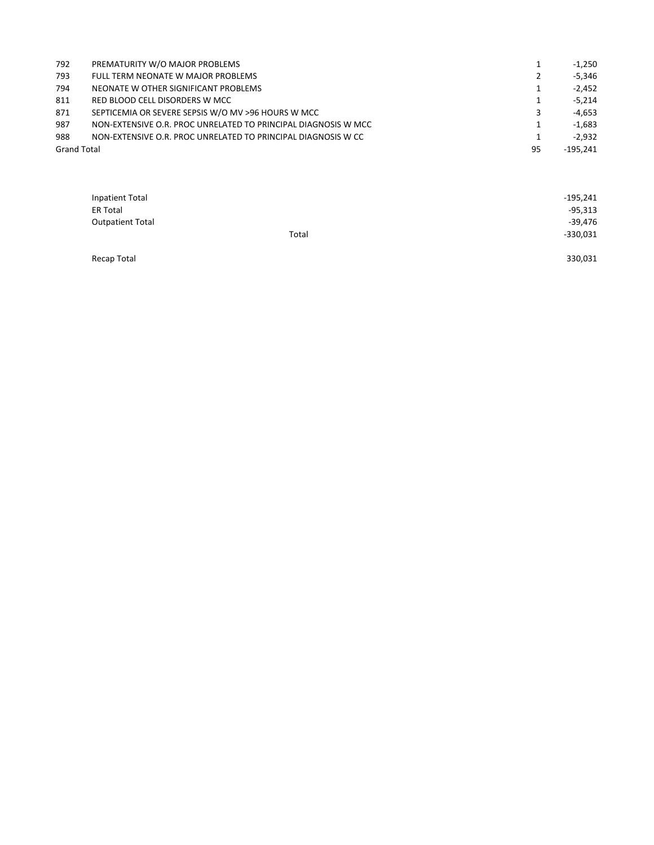| 792                | PREMATURITY W/O MAJOR PROBLEMS                                 | 1  | $-1,250$   |
|--------------------|----------------------------------------------------------------|----|------------|
| 793                | FULL TERM NEONATE W MAJOR PROBLEMS                             | 2  | $-5.346$   |
| 794                | NEONATE W OTHER SIGNIFICANT PROBLEMS                           | 1  | $-2.452$   |
| 811                | RED BLOOD CELL DISORDERS W MCC                                 | 1  | $-5.214$   |
| 871                | SEPTICEMIA OR SEVERE SEPSIS W/O MV >96 HOURS W MCC             | 3  | -4.653     |
| 987                | NON-EXTENSIVE O.R. PROC UNRELATED TO PRINCIPAL DIAGNOSIS W MCC |    | $-1.683$   |
| 988                | NON-EXTENSIVE O.R. PROC UNRELATED TO PRINCIPAL DIAGNOSIS W CC  |    | $-2.932$   |
| <b>Grand Total</b> |                                                                | 95 | $-195.241$ |

| <b>Inpatient Total</b>  |       | $-195,241$ |
|-------------------------|-------|------------|
| <b>ER Total</b>         |       | $-95,313$  |
| <b>Outpatient Total</b> |       | -39.476    |
|                         | Total | -330,031   |

Recap Total 330,031 No. 2012 12:00:00 No. 2012 12:00:00 No. 2012 12:00:00 No. 2013 13:00:00 No. 2014 13:00:00 N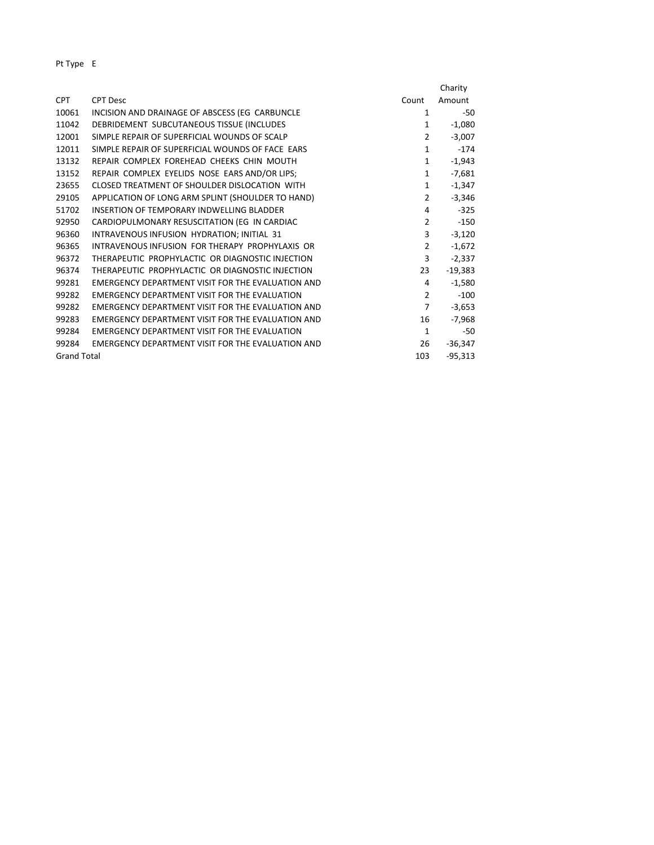|                    |                                                   |                | Charity   |
|--------------------|---------------------------------------------------|----------------|-----------|
| <b>CPT</b>         | <b>CPT Desc</b>                                   | Count          | Amount    |
| 10061              | INCISION AND DRAINAGE OF ABSCESS (EG CARBUNCLE    | 1              | -50       |
| 11042              | DEBRIDEMENT SUBCUTANEOUS TISSUE (INCLUDES         | $\mathbf{1}$   | $-1,080$  |
| 12001              | SIMPLE REPAIR OF SUPERFICIAL WOUNDS OF SCALP      | $\overline{2}$ | $-3,007$  |
| 12011              | SIMPLE REPAIR OF SUPERFICIAL WOUNDS OF FACE EARS  | $\mathbf{1}$   | $-174$    |
| 13132              | REPAIR COMPLEX FOREHEAD CHEEKS CHIN MOUTH         | $\mathbf{1}$   | $-1,943$  |
| 13152              | REPAIR COMPLEX EYELIDS NOSE EARS AND/OR LIPS;     | $\mathbf{1}$   | $-7,681$  |
| 23655              | CLOSED TREATMENT OF SHOULDER DISLOCATION WITH     | $\mathbf{1}$   | $-1,347$  |
| 29105              | APPLICATION OF LONG ARM SPLINT (SHOULDER TO HAND) | $\overline{2}$ | $-3,346$  |
| 51702              | INSERTION OF TEMPORARY INDWELLING BLADDER         | 4              | $-325$    |
| 92950              | CARDIOPULMONARY RESUSCITATION (EG IN CARDIAC      | $\overline{2}$ | $-150$    |
| 96360              | INTRAVENOUS INFUSION HYDRATION; INITIAL 31        | 3              | $-3,120$  |
| 96365              | INTRAVENOUS INFUSION FOR THERAPY PROPHYLAXIS OR   | $\overline{2}$ | $-1,672$  |
| 96372              | THERAPEUTIC PROPHYLACTIC OR DIAGNOSTIC INJECTION  | 3              | $-2,337$  |
| 96374              | THERAPEUTIC PROPHYLACTIC OR DIAGNOSTIC INJECTION  | 23             | $-19,383$ |
| 99281              | EMERGENCY DEPARTMENT VISIT FOR THE EVALUATION AND | 4              | $-1,580$  |
| 99282              | EMERGENCY DEPARTMENT VISIT FOR THE EVALUATION     | $\overline{2}$ | $-100$    |
| 99282              | EMERGENCY DEPARTMENT VISIT FOR THE EVALUATION AND | $\overline{7}$ | $-3,653$  |
| 99283              | EMERGENCY DEPARTMENT VISIT FOR THE EVALUATION AND | 16             | $-7,968$  |
| 99284              | EMERGENCY DEPARTMENT VISIT FOR THE EVALUATION     | $\mathbf{1}$   | $-50$     |
| 99284              | EMERGENCY DEPARTMENT VISIT FOR THE EVALUATION AND | 26             | $-36,347$ |
| <b>Grand Total</b> |                                                   | 103            | $-95,313$ |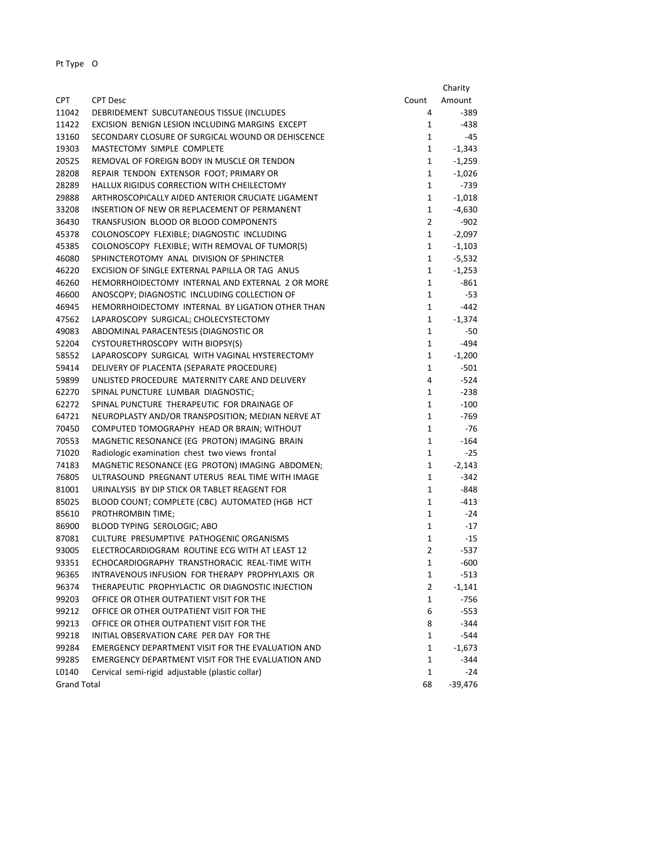|                    |                                                                                                 |                   | Charity          |
|--------------------|-------------------------------------------------------------------------------------------------|-------------------|------------------|
| <b>CPT</b>         | <b>CPT Desc</b>                                                                                 | Count             | Amount           |
| 11042              | DEBRIDEMENT SUBCUTANEOUS TISSUE (INCLUDES                                                       | 4                 | $-389$           |
| 11422              | EXCISION BENIGN LESION INCLUDING MARGINS EXCEPT                                                 | 1                 | -438             |
| 13160              | SECONDARY CLOSURE OF SURGICAL WOUND OR DEHISCENCE                                               | 1                 | -45              |
| 19303              | MASTECTOMY SIMPLE COMPLETE                                                                      | 1                 | $-1,343$         |
| 20525              | REMOVAL OF FOREIGN BODY IN MUSCLE OR TENDON                                                     | 1                 | $-1,259$         |
| 28208              | REPAIR TENDON EXTENSOR FOOT; PRIMARY OR                                                         | $\mathbf{1}$      | $-1,026$         |
| 28289              | HALLUX RIGIDUS CORRECTION WITH CHEILECTOMY                                                      | $\mathbf{1}$      | $-739$           |
| 29888              | ARTHROSCOPICALLY AIDED ANTERIOR CRUCIATE LIGAMENT                                               | 1                 | $-1,018$         |
| 33208              | INSERTION OF NEW OR REPLACEMENT OF PERMANENT                                                    | 1                 | $-4,630$         |
| 36430              | TRANSFUSION BLOOD OR BLOOD COMPONENTS                                                           | $\overline{2}$    | $-902$           |
| 45378              | COLONOSCOPY FLEXIBLE; DIAGNOSTIC INCLUDING                                                      | 1                 | $-2,097$         |
| 45385              | COLONOSCOPY FLEXIBLE; WITH REMOVAL OF TUMOR(S)                                                  | 1                 | $-1,103$         |
| 46080              | SPHINCTEROTOMY ANAL DIVISION OF SPHINCTER                                                       | 1                 | $-5,532$         |
| 46220              | EXCISION OF SINGLE EXTERNAL PAPILLA OR TAG ANUS                                                 | 1                 | $-1,253$         |
| 46260              | HEMORRHOIDECTOMY INTERNAL AND EXTERNAL 2 OR MORE                                                | 1                 | $-861$           |
| 46600              | ANOSCOPY; DIAGNOSTIC INCLUDING COLLECTION OF                                                    | $\mathbf{1}$      | $-53$            |
| 46945              | HEMORRHOIDECTOMY INTERNAL BY LIGATION OTHER THAN                                                | 1                 | $-442$           |
| 47562              | LAPAROSCOPY SURGICAL; CHOLECYSTECTOMY                                                           | 1                 | $-1,374$         |
| 49083              | ABDOMINAL PARACENTESIS (DIAGNOSTIC OR                                                           | 1                 | -50              |
| 52204              | CYSTOURETHROSCOPY WITH BIOPSY(S)                                                                | 1                 | $-494$           |
| 58552              | LAPAROSCOPY SURGICAL WITH VAGINAL HYSTERECTOMY                                                  | 1                 | $-1,200$         |
| 59414              | DELIVERY OF PLACENTA (SEPARATE PROCEDURE)                                                       | 1                 | $-501$           |
| 59899              | UNLISTED PROCEDURE MATERNITY CARE AND DELIVERY                                                  | 4                 | $-524$           |
| 62270              | SPINAL PUNCTURE LUMBAR DIAGNOSTIC;                                                              | 1                 | $-238$           |
| 62272              | SPINAL PUNCTURE THERAPEUTIC FOR DRAINAGE OF                                                     | 1                 | $-100$           |
| 64721              | NEUROPLASTY AND/OR TRANSPOSITION; MEDIAN NERVE AT                                               | $\mathbf{1}$      | $-769$           |
| 70450              | COMPUTED TOMOGRAPHY HEAD OR BRAIN; WITHOUT                                                      | $\mathbf{1}$      | -76              |
| 70553              | MAGNETIC RESONANCE (EG PROTON) IMAGING BRAIN                                                    | 1                 | $-164$           |
| 71020              | Radiologic examination chest two views frontal                                                  | $\mathbf{1}$      | $-25$            |
| 74183              | MAGNETIC RESONANCE (EG PROTON) IMAGING ABDOMEN;                                                 | 1                 | $-2,143$         |
| 76805              | ULTRASOUND PREGNANT UTERUS REAL TIME WITH IMAGE                                                 | $\mathbf{1}$      | -342             |
| 81001              | URINALYSIS BY DIP STICK OR TABLET REAGENT FOR                                                   | 1                 | -848             |
| 85025              |                                                                                                 |                   | $-413$           |
|                    | BLOOD COUNT; COMPLETE (CBC) AUTOMATED (HGB HCT<br>PROTHROMBIN TIME;                             | 1<br>$\mathbf{1}$ | $-24$            |
| 85610              | BLOOD TYPING SEROLOGIC; ABO                                                                     | 1                 |                  |
| 86900<br>87081     | CULTURE PRESUMPTIVE PATHOGENIC ORGANISMS                                                        | $\mathbf{1}$      | $-17$<br>$-15$   |
|                    |                                                                                                 | $\overline{2}$    |                  |
| 93005              | ELECTROCARDIOGRAM ROUTINE ECG WITH AT LEAST 12<br>ECHOCARDIOGRAPHY TRANSTHORACIC REAL-TIME WITH |                   | $-537$           |
| 93351              |                                                                                                 | 1                 | $-600$<br>$-513$ |
| 96365              | INTRAVENOUS INFUSION FOR THERAPY PROPHYLAXIS OR                                                 | 1                 |                  |
| 96374              | THERAPEUTIC PROPHYLACTIC OR DIAGNOSTIC INJECTION                                                | $\overline{2}$    | $-1,141$         |
| 99203              | OFFICE OR OTHER OUTPATIENT VISIT FOR THE                                                        | 1                 | $-756$           |
| 99212              | OFFICE OR OTHER OUTPATIENT VISIT FOR THE                                                        | 6                 | $-553$           |
| 99213              | OFFICE OR OTHER OUTPATIENT VISIT FOR THE                                                        | 8                 | $-344$           |
| 99218              | INITIAL OBSERVATION CARE PER DAY FOR THE                                                        | 1                 | $-544$           |
| 99284              | EMERGENCY DEPARTMENT VISIT FOR THE EVALUATION AND                                               | 1                 | $-1,673$         |
| 99285              | EMERGENCY DEPARTMENT VISIT FOR THE EVALUATION AND                                               | 1                 | -344             |
| L0140              | Cervical semi-rigid adjustable (plastic collar)                                                 | $\mathbf{1}$      | -24              |
| <b>Grand Total</b> |                                                                                                 | 68                | $-39,476$        |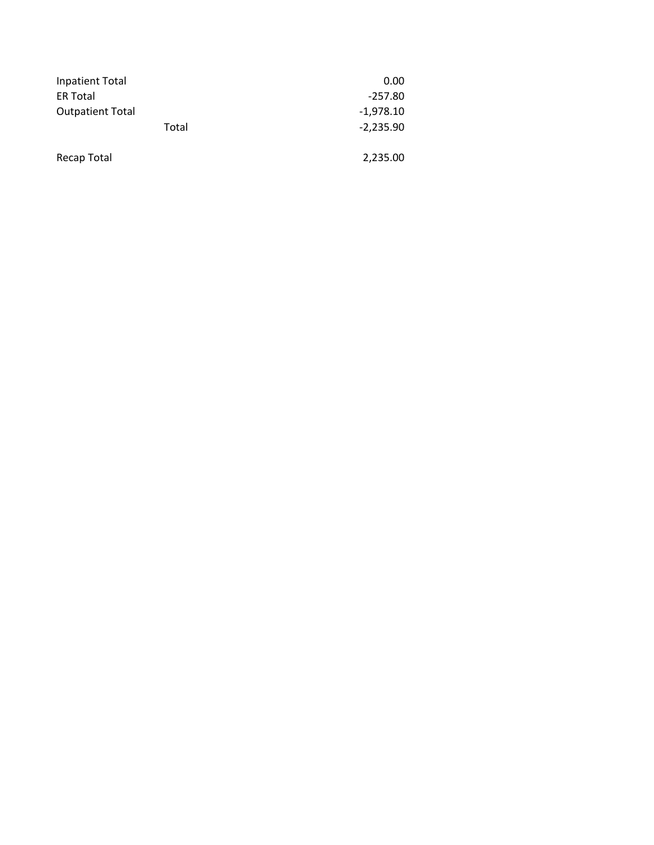| Inpatient Total         | 0.00        |  |
|-------------------------|-------------|--|
| <b>ER Total</b>         | $-257.80$   |  |
| <b>Outpatient Total</b> | $-1,978.10$ |  |
| Total                   | $-2,235.90$ |  |
| Recap Total             | 2,235.00    |  |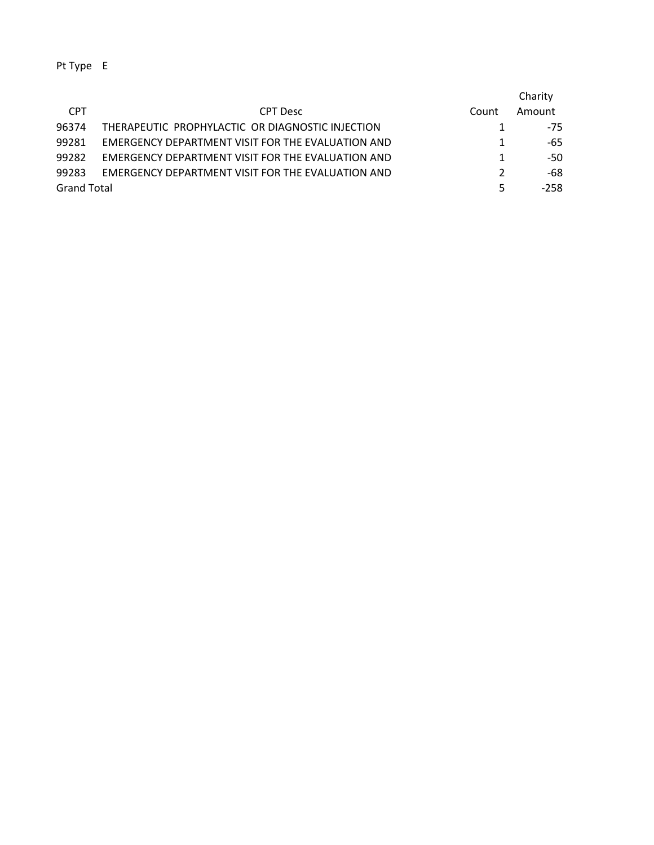|                    |                                                   |               | Charity |
|--------------------|---------------------------------------------------|---------------|---------|
| <b>CPT</b>         | <b>CPT</b> Desc                                   | Count         | Amount  |
| 96374              | THERAPEUTIC PROPHYLACTIC OR DIAGNOSTIC INJECTION  |               | $-75$   |
| 99281              | EMERGENCY DEPARTMENT VISIT FOR THE EVALUATION AND | 1             | -65     |
| 99282              | EMERGENCY DEPARTMENT VISIT FOR THE EVALUATION AND | 1             | -50     |
| 99283              | EMERGENCY DEPARTMENT VISIT FOR THE EVALUATION AND | $\mathcal{P}$ | -68     |
| <b>Grand Total</b> |                                                   | 5             | $-258$  |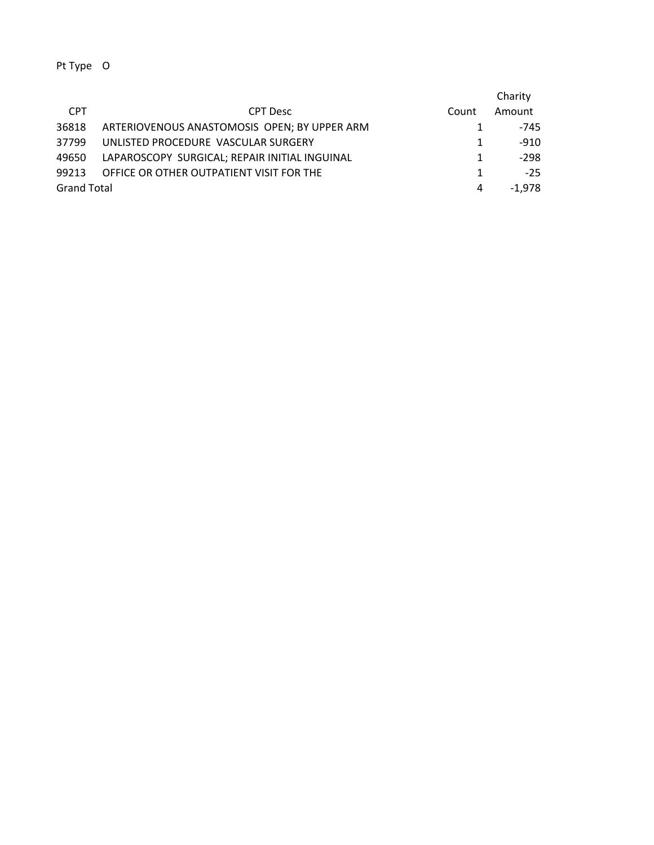|                    |                                               |       | Charity |
|--------------------|-----------------------------------------------|-------|---------|
| <b>CPT</b>         | <b>CPT</b> Desc                               | Count | Amount  |
| 36818              | ARTERIOVENOUS ANASTOMOSIS OPEN; BY UPPER ARM  |       | -745    |
| 37799              | UNLISTED PROCEDURE VASCULAR SURGERY           |       | $-910$  |
| 49650              | LAPAROSCOPY SURGICAL; REPAIR INITIAL INGUINAL |       | $-298$  |
| 99213              | OFFICE OR OTHER OUTPATIENT VISIT FOR THE      |       | $-25$   |
| <b>Grand Total</b> |                                               | 4     | -1.978  |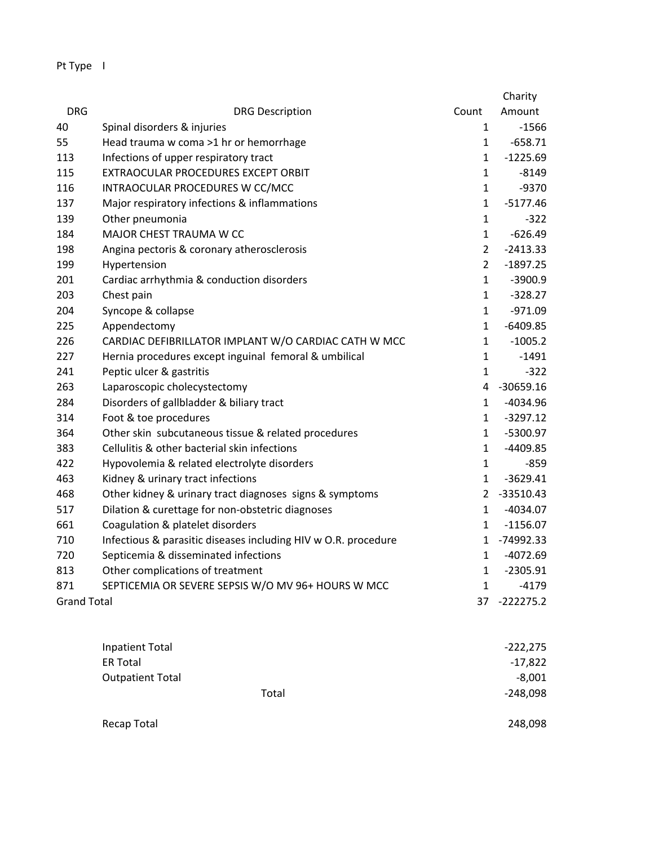|                    |                                                                |                | Charity     |
|--------------------|----------------------------------------------------------------|----------------|-------------|
| <b>DRG</b>         | <b>DRG Description</b>                                         | Count          | Amount      |
| 40                 | Spinal disorders & injuries                                    | 1              | $-1566$     |
| 55                 | Head trauma w coma >1 hr or hemorrhage                         | $\mathbf{1}$   | $-658.71$   |
| 113                | Infections of upper respiratory tract                          | $\mathbf{1}$   | $-1225.69$  |
| 115                | EXTRAOCULAR PROCEDURES EXCEPT ORBIT                            | $\mathbf{1}$   | $-8149$     |
| 116                | INTRAOCULAR PROCEDURES W CC/MCC                                | $\mathbf{1}$   | $-9370$     |
| 137                | Major respiratory infections & inflammations                   | $\mathbf{1}$   | $-5177.46$  |
| 139                | Other pneumonia                                                | $\mathbf{1}$   | $-322$      |
| 184                | MAJOR CHEST TRAUMA W CC                                        | $\mathbf{1}$   | $-626.49$   |
| 198                | Angina pectoris & coronary atherosclerosis                     | $\overline{2}$ | $-2413.33$  |
| 199                | Hypertension                                                   | $\overline{2}$ | $-1897.25$  |
| 201                | Cardiac arrhythmia & conduction disorders                      | $\mathbf{1}$   | $-3900.9$   |
| 203                | Chest pain                                                     | $\mathbf{1}$   | $-328.27$   |
| 204                | Syncope & collapse                                             | $\mathbf{1}$   | $-971.09$   |
| 225                | Appendectomy                                                   | $\mathbf{1}$   | $-6409.85$  |
| 226                | CARDIAC DEFIBRILLATOR IMPLANT W/O CARDIAC CATH W MCC           | 1              | $-1005.2$   |
| 227                | Hernia procedures except inguinal femoral & umbilical          | $\mathbf{1}$   | $-1491$     |
| 241                | Peptic ulcer & gastritis                                       | $\mathbf{1}$   | $-322$      |
| 263                | Laparoscopic cholecystectomy                                   | 4              | $-30659.16$ |
| 284                | Disorders of gallbladder & biliary tract                       | $\mathbf{1}$   | $-4034.96$  |
| 314                | Foot & toe procedures                                          | $\mathbf{1}$   | $-3297.12$  |
| 364                | Other skin subcutaneous tissue & related procedures            | $\mathbf{1}$   | $-5300.97$  |
| 383                | Cellulitis & other bacterial skin infections                   | $\mathbf{1}$   | $-4409.85$  |
| 422                | Hypovolemia & related electrolyte disorders                    | $\mathbf{1}$   | $-859$      |
| 463                | Kidney & urinary tract infections                              | 1              | $-3629.41$  |
| 468                | Other kidney & urinary tract diagnoses signs & symptoms        | $\overline{2}$ | $-33510.43$ |
| 517                | Dilation & curettage for non-obstetric diagnoses               | $\mathbf{1}$   | $-4034.07$  |
| 661                | Coagulation & platelet disorders                               | $\mathbf{1}$   | $-1156.07$  |
| 710                | Infectious & parasitic diseases including HIV w O.R. procedure | $\mathbf{1}$   | $-74992.33$ |
| 720                | Septicemia & disseminated infections                           | $\mathbf{1}$   | $-4072.69$  |
| 813                | Other complications of treatment                               | $\mathbf{1}$   | $-2305.91$  |
| 871                | SEPTICEMIA OR SEVERE SEPSIS W/O MV 96+ HOURS W MCC             | $\mathbf{1}$   | $-4179$     |
| <b>Grand Total</b> |                                                                | 37             | $-222275.2$ |

| Inpatient Total |                         | $-222,275$ |
|-----------------|-------------------------|------------|
| <b>ER Total</b> |                         | $-17,822$  |
|                 | <b>Outpatient Total</b> | $-8,001$   |
|                 | Total                   | $-248,098$ |
|                 |                         |            |
| Recap Total     |                         | 248,098    |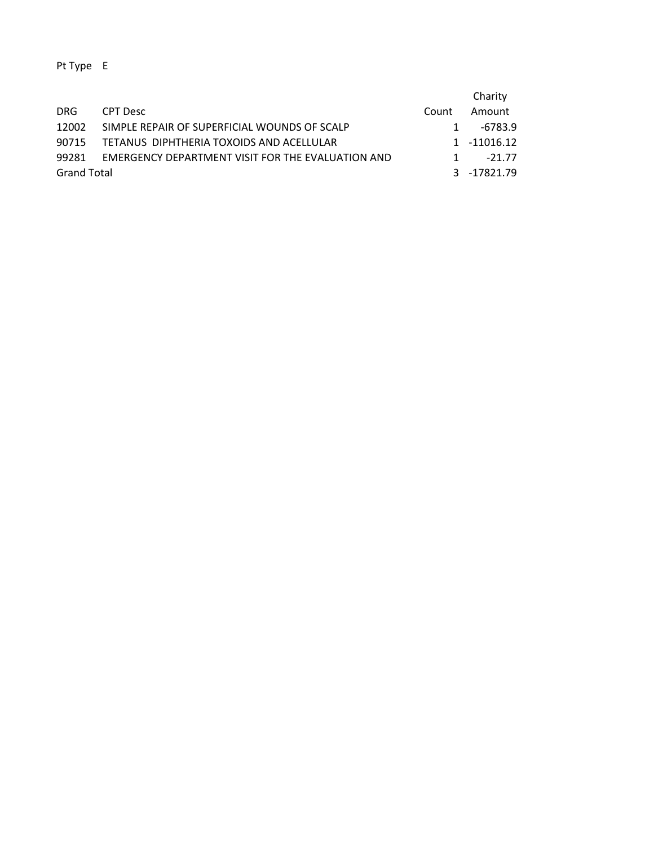|                    |                                                   |              | Charity     |
|--------------------|---------------------------------------------------|--------------|-------------|
| DRG.               | CPT Desc                                          | Count        | Amount      |
| 12002              | SIMPLE REPAIR OF SUPERFICIAL WOUNDS OF SCALP      |              | -6783.9     |
| 90715              | TETANUS DIPHTHERIA TOXOIDS AND ACELLULAR          |              | 1 -11016.12 |
| 99281              | EMERGENCY DEPARTMENT VISIT FOR THE EVALUATION AND | $\mathbf{1}$ | $-21.77$    |
| <b>Grand Total</b> |                                                   |              | 3 -17821.79 |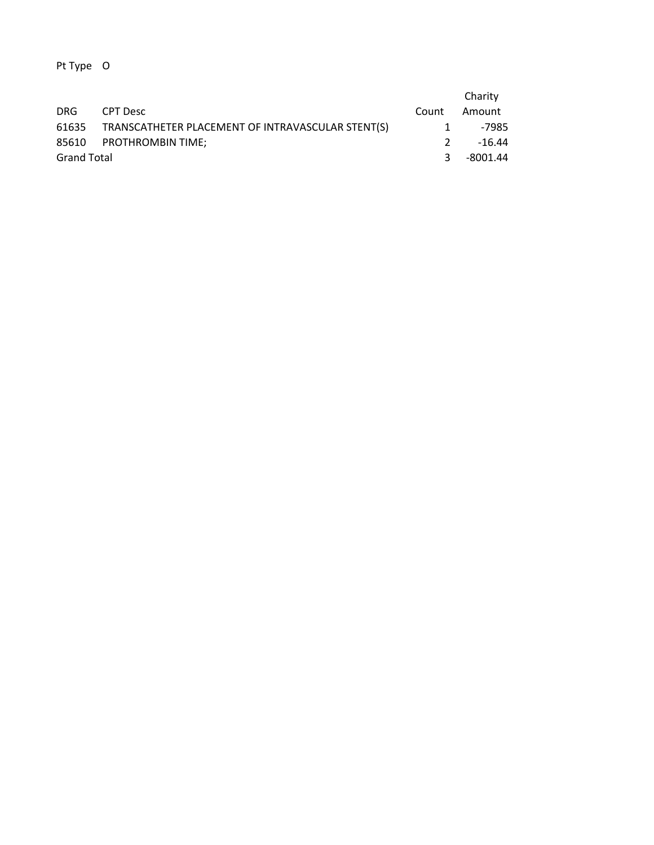|                    |                                                   |               | Charity  |
|--------------------|---------------------------------------------------|---------------|----------|
| DRG.               | CPT Desc                                          | Count         | Amount   |
| 61635              | TRANSCATHETER PLACEMENT OF INTRAVASCULAR STENT(S) | 1             | -7985    |
|                    | 85610 PROTHROMBIN TIME:                           | $\mathcal{P}$ | -16.44   |
| <b>Grand Total</b> |                                                   | -3            | -8001.44 |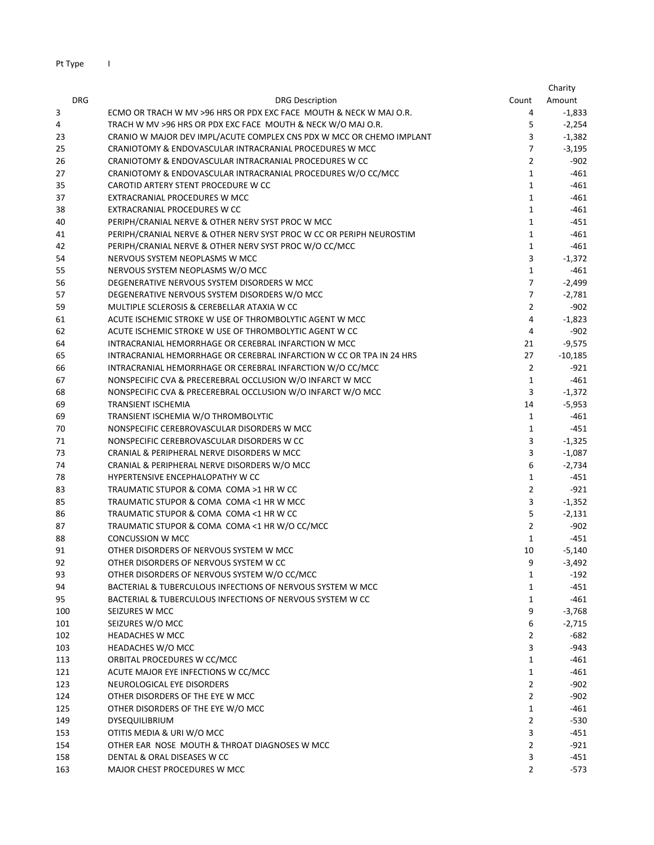Pt Type I

|            |                                                                                     |                                | Charity              |
|------------|-------------------------------------------------------------------------------------|--------------------------------|----------------------|
| <b>DRG</b> | <b>DRG Description</b>                                                              | Count                          | Amount               |
| 3          | ECMO OR TRACH W MV >96 HRS OR PDX EXC FACE MOUTH & NECK W MAJ O.R.                  | 4                              | $-1,833$             |
| 4          | TRACH W MV >96 HRS OR PDX EXC FACE MOUTH & NECK W/O MAJ O.R.                        | 5                              | $-2,254$             |
| 23         | CRANIO W MAJOR DEV IMPL/ACUTE COMPLEX CNS PDX W MCC OR CHEMO IMPLANT                | 3                              | $-1,382$             |
| 25         | CRANIOTOMY & ENDOVASCULAR INTRACRANIAL PROCEDURES W MCC                             | $\overline{7}$                 | $-3,195$             |
| 26         | CRANIOTOMY & ENDOVASCULAR INTRACRANIAL PROCEDURES W CC                              | $\overline{2}$                 | $-902$               |
| 27         | CRANIOTOMY & ENDOVASCULAR INTRACRANIAL PROCEDURES W/O CC/MCC                        | $\mathbf{1}$                   | $-461$               |
| 35         | CAROTID ARTERY STENT PROCEDURE W CC                                                 | $\mathbf{1}$                   | $-461$               |
| 37         | EXTRACRANIAL PROCEDURES W MCC                                                       | 1                              | $-461$               |
| 38         | EXTRACRANIAL PROCEDURES W CC                                                        | $\mathbf{1}$                   | $-461$               |
| 40         | PERIPH/CRANIAL NERVE & OTHER NERV SYST PROC W MCC                                   | $\mathbf{1}$                   | $-451$               |
| 41         | PERIPH/CRANIAL NERVE & OTHER NERV SYST PROC W CC OR PERIPH NEUROSTIM                | $\mathbf{1}$                   | $-461$               |
| 42         | PERIPH/CRANIAL NERVE & OTHER NERV SYST PROC W/O CC/MCC                              | $\mathbf{1}$                   | $-461$               |
| 54         | NERVOUS SYSTEM NEOPLASMS W MCC                                                      | 3                              | $-1,372$             |
| 55         | NERVOUS SYSTEM NEOPLASMS W/O MCC                                                    | $\mathbf{1}$                   | $-461$               |
| 56         | DEGENERATIVE NERVOUS SYSTEM DISORDERS W MCC                                         | $\overline{7}$                 | $-2,499$             |
| 57         | DEGENERATIVE NERVOUS SYSTEM DISORDERS W/O MCC                                       | $\overline{7}$                 | $-2,781$             |
| 59         | MULTIPLE SCLEROSIS & CEREBELLAR ATAXIA W CC                                         | $\overline{2}$                 | $-902$               |
| 61         | ACUTE ISCHEMIC STROKE W USE OF THROMBOLYTIC AGENT W MCC                             | 4                              | $-1,823$             |
| 62         | ACUTE ISCHEMIC STROKE W USE OF THROMBOLYTIC AGENT W CC                              | 4                              | $-902$               |
| 64         | INTRACRANIAL HEMORRHAGE OR CEREBRAL INFARCTION W MCC                                | 21                             | $-9,575$             |
| 65         | INTRACRANIAL HEMORRHAGE OR CEREBRAL INFARCTION W CC OR TPA IN 24 HRS                | 27                             | $-10,185$            |
| 66         | INTRACRANIAL HEMORRHAGE OR CEREBRAL INFARCTION W/O CC/MCC                           | $\overline{2}$                 | $-921$               |
| 67         | NONSPECIFIC CVA & PRECEREBRAL OCCLUSION W/O INFARCT W MCC                           | $\mathbf 1$                    | -461                 |
| 68         | NONSPECIFIC CVA & PRECEREBRAL OCCLUSION W/O INFARCT W/O MCC                         | 3                              | $-1,372$             |
| 69         | <b>TRANSIENT ISCHEMIA</b>                                                           | 14                             | $-5,953$             |
| 69         | TRANSIENT ISCHEMIA W/O THROMBOLYTIC                                                 | $\mathbf{1}$                   | $-461$               |
| 70         | NONSPECIFIC CEREBROVASCULAR DISORDERS W MCC                                         | $\mathbf{1}$                   | $-451$               |
| 71         | NONSPECIFIC CEREBROVASCULAR DISORDERS W CC                                          | 3                              | $-1,325$             |
| 73         | CRANIAL & PERIPHERAL NERVE DISORDERS W MCC                                          | 3                              | $-1,087$             |
| 74         | CRANIAL & PERIPHERAL NERVE DISORDERS W/O MCC                                        | 6                              | $-2,734$             |
| 78         | HYPERTENSIVE ENCEPHALOPATHY W CC                                                    | $\mathbf{1}$<br>$\overline{2}$ | $-451$               |
| 83         | TRAUMATIC STUPOR & COMA COMA >1 HR W CC                                             |                                | $-921$               |
| 85<br>86   | TRAUMATIC STUPOR & COMA COMA <1 HR W MCC<br>TRAUMATIC STUPOR & COMA COMA <1 HR W CC | 3<br>5                         | $-1,352$<br>$-2,131$ |
|            | TRAUMATIC STUPOR & COMA COMA <1 HR W/O CC/MCC                                       | 2                              | $-902$               |
| 87<br>88   | <b>CONCUSSION W MCC</b>                                                             | 1                              | $-451$               |
| 91         | OTHER DISORDERS OF NERVOUS SYSTEM W MCC                                             | 10                             | $-5,140$             |
| 92         | OTHER DISORDERS OF NERVOUS SYSTEM W CC                                              | 9                              | $-3,492$             |
| 93         | OTHER DISORDERS OF NERVOUS SYSTEM W/O CC/MCC                                        | 1                              | $-192$               |
| 94         | BACTERIAL & TUBERCULOUS INFECTIONS OF NERVOUS SYSTEM W MCC                          | 1                              | $-451$               |
| 95         | BACTERIAL & TUBERCULOUS INFECTIONS OF NERVOUS SYSTEM W CC                           | $\mathbf{1}$                   | $-461$               |
| 100        | SEIZURES W MCC                                                                      | 9                              | $-3,768$             |
| 101        | SEIZURES W/O MCC                                                                    | 6                              | $-2,715$             |
| 102        | <b>HEADACHES W MCC</b>                                                              | 2                              | -682                 |
| 103        | HEADACHES W/O MCC                                                                   | 3                              | -943                 |
| 113        | ORBITAL PROCEDURES W CC/MCC                                                         | 1                              | $-461$               |
| 121        | ACUTE MAJOR EYE INFECTIONS W CC/MCC                                                 | $\mathbf{1}$                   | -461                 |
| 123        | NEUROLOGICAL EYE DISORDERS                                                          | $\overline{2}$                 | $-902$               |
| 124        | OTHER DISORDERS OF THE EYE W MCC                                                    | $\overline{2}$                 | $-902$               |
| 125        | OTHER DISORDERS OF THE EYE W/O MCC                                                  | $\mathbf{1}$                   | $-461$               |
| 149        | DYSEQUILIBRIUM                                                                      | $\overline{2}$                 | $-530$               |
| 153        | OTITIS MEDIA & URI W/O MCC                                                          | 3                              | -451                 |
| 154        | OTHER EAR NOSE MOUTH & THROAT DIAGNOSES W MCC                                       | $\overline{2}$                 | $-921$               |
| 158        | DENTAL & ORAL DISEASES W CC                                                         | 3                              | -451                 |
| 163        | MAJOR CHEST PROCEDURES W MCC                                                        | $\overline{2}$                 | $-573$               |
|            |                                                                                     |                                |                      |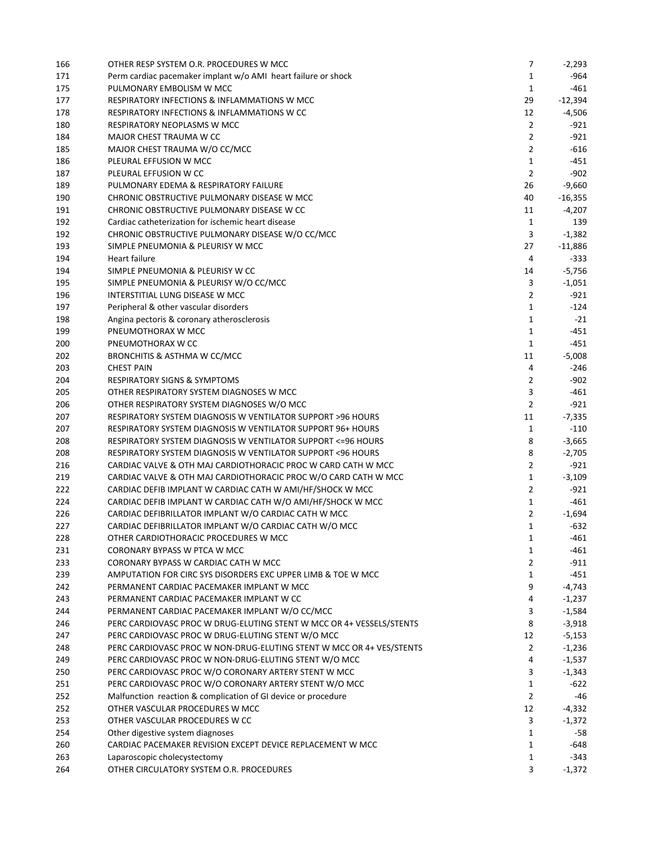| 166 | OTHER RESP SYSTEM O.R. PROCEDURES W MCC                              | 7              | $-2,293$  |
|-----|----------------------------------------------------------------------|----------------|-----------|
| 171 | Perm cardiac pacemaker implant w/o AMI heart failure or shock        | 1              | -964      |
| 175 | PULMONARY EMBOLISM W MCC                                             | 1              | -461      |
| 177 | RESPIRATORY INFECTIONS & INFLAMMATIONS W MCC                         | 29             | $-12,394$ |
| 178 | RESPIRATORY INFECTIONS & INFLAMMATIONS W CC                          | 12             | $-4,506$  |
| 180 | RESPIRATORY NEOPLASMS W MCC                                          | $\overline{2}$ | -921      |
| 184 | MAJOR CHEST TRAUMA W CC                                              | $\overline{2}$ | $-921$    |
| 185 | MAJOR CHEST TRAUMA W/O CC/MCC                                        | $\overline{2}$ | $-616$    |
| 186 | PLEURAL EFFUSION W MCC                                               | $\mathbf{1}$   | $-451$    |
| 187 | PLEURAL EFFUSION W CC                                                | $\overline{2}$ | $-902$    |
|     |                                                                      |                |           |
| 189 | PULMONARY EDEMA & RESPIRATORY FAILURE                                | 26             | $-9,660$  |
| 190 | CHRONIC OBSTRUCTIVE PULMONARY DISEASE W MCC                          | 40             | $-16,355$ |
| 191 | CHRONIC OBSTRUCTIVE PULMONARY DISEASE W CC                           | 11             | $-4,207$  |
| 192 | Cardiac catheterization for ischemic heart disease                   | 1              | 139       |
| 192 | CHRONIC OBSTRUCTIVE PULMONARY DISEASE W/O CC/MCC                     | 3              | $-1,382$  |
| 193 | SIMPLE PNEUMONIA & PLEURISY W MCC                                    | 27             | $-11,886$ |
| 194 | Heart failure                                                        | 4              | -333      |
| 194 | SIMPLE PNEUMONIA & PLEURISY W CC                                     | 14             | $-5,756$  |
| 195 | SIMPLE PNEUMONIA & PLEURISY W/O CC/MCC                               | 3              | $-1,051$  |
| 196 | INTERSTITIAL LUNG DISEASE W MCC                                      | $\overline{2}$ | -921      |
| 197 | Peripheral & other vascular disorders                                | $\mathbf{1}$   | $-124$    |
| 198 | Angina pectoris & coronary atherosclerosis                           | $\mathbf{1}$   | $-21$     |
| 199 | PNEUMOTHORAX W MCC                                                   | $\mathbf{1}$   | $-451$    |
| 200 | PNEUMOTHORAX W CC                                                    | $\mathbf{1}$   | $-451$    |
| 202 | BRONCHITIS & ASTHMA W CC/MCC                                         | 11             | $-5,008$  |
| 203 | <b>CHEST PAIN</b>                                                    | 4              | $-246$    |
| 204 | <b>RESPIRATORY SIGNS &amp; SYMPTOMS</b>                              | $\overline{2}$ | $-902$    |
| 205 | OTHER RESPIRATORY SYSTEM DIAGNOSES W MCC                             | 3              | $-461$    |
| 206 | OTHER RESPIRATORY SYSTEM DIAGNOSES W/O MCC                           | $\overline{2}$ | -921      |
| 207 | RESPIRATORY SYSTEM DIAGNOSIS W VENTILATOR SUPPORT >96 HOURS          | 11             | $-7,335$  |
| 207 | RESPIRATORY SYSTEM DIAGNOSIS W VENTILATOR SUPPORT 96+ HOURS          | 1              | -110      |
| 208 | RESPIRATORY SYSTEM DIAGNOSIS W VENTILATOR SUPPORT <= 96 HOURS        | 8              | $-3,665$  |
| 208 | RESPIRATORY SYSTEM DIAGNOSIS W VENTILATOR SUPPORT <96 HOURS          | 8              | $-2,705$  |
| 216 | CARDIAC VALVE & OTH MAJ CARDIOTHORACIC PROC W CARD CATH W MCC        | $\overline{2}$ | -921      |
| 219 | CARDIAC VALVE & OTH MAJ CARDIOTHORACIC PROC W/O CARD CATH W MCC      | $\mathbf{1}$   | $-3,109$  |
|     |                                                                      | $\overline{2}$ | -921      |
| 222 | CARDIAC DEFIB IMPLANT W CARDIAC CATH W AMI/HF/SHOCK W MCC            |                |           |
| 224 | CARDIAC DEFIB IMPLANT W CARDIAC CATH W/O AMI/HF/SHOCK W MCC          | $\mathbf{1}$   | $-461$    |
| 226 | CARDIAC DEFIBRILLATOR IMPLANT W/O CARDIAC CATH W MCC                 | $\overline{2}$ | $-1,694$  |
| 227 | CARDIAC DEFIBRILLATOR IMPLANT W/O CARDIAC CATH W/O MCC               | $\mathbf{1}$   | -632      |
| 228 | OTHER CARDIOTHORACIC PROCEDURES W MCC                                | 1              | $-461$    |
| 231 | CORONARY BYPASS W PTCA W MCC                                         | 1              | -461      |
| 233 | CORONARY BYPASS W CARDIAC CATH W MCC                                 | $\overline{2}$ | -911      |
| 239 | AMPUTATION FOR CIRC SYS DISORDERS EXC UPPER LIMB & TOE W MCC         | $\mathbf{1}$   | $-451$    |
| 242 | PERMANENT CARDIAC PACEMAKER IMPLANT W MCC                            | 9              | $-4,743$  |
| 243 | PERMANENT CARDIAC PACEMAKER IMPLANT W CC                             | 4              | $-1,237$  |
| 244 | PERMANENT CARDIAC PACEMAKER IMPLANT W/O CC/MCC                       | 3              | $-1,584$  |
| 246 | PERC CARDIOVASC PROC W DRUG-ELUTING STENT W MCC OR 4+ VESSELS/STENTS | 8              | $-3,918$  |
| 247 | PERC CARDIOVASC PROC W DRUG-ELUTING STENT W/O MCC                    | 12             | $-5,153$  |
| 248 | PERC CARDIOVASC PROC W NON-DRUG-ELUTING STENT W MCC OR 4+ VES/STENTS | $\overline{2}$ | $-1,236$  |
| 249 | PERC CARDIOVASC PROC W NON-DRUG-ELUTING STENT W/O MCC                | 4              | $-1,537$  |
| 250 | PERC CARDIOVASC PROC W/O CORONARY ARTERY STENT W MCC                 | 3              | $-1,343$  |
| 251 | PERC CARDIOVASC PROC W/O CORONARY ARTERY STENT W/O MCC               | $\mathbf{1}$   | $-622$    |
| 252 | Malfunction reaction & complication of GI device or procedure        | $\overline{2}$ | -46       |
| 252 | OTHER VASCULAR PROCEDURES W MCC                                      | 12             | $-4,332$  |
| 253 | OTHER VASCULAR PROCEDURES W CC                                       | 3              | $-1,372$  |
| 254 | Other digestive system diagnoses                                     | $\mathbf{1}$   | -58       |
| 260 | CARDIAC PACEMAKER REVISION EXCEPT DEVICE REPLACEMENT W MCC           | $\mathbf{1}$   | $-648$    |
| 263 | Laparoscopic cholecystectomy                                         | 1              | $-343$    |
| 264 | OTHER CIRCULATORY SYSTEM O.R. PROCEDURES                             | 3              | $-1,372$  |
|     |                                                                      |                |           |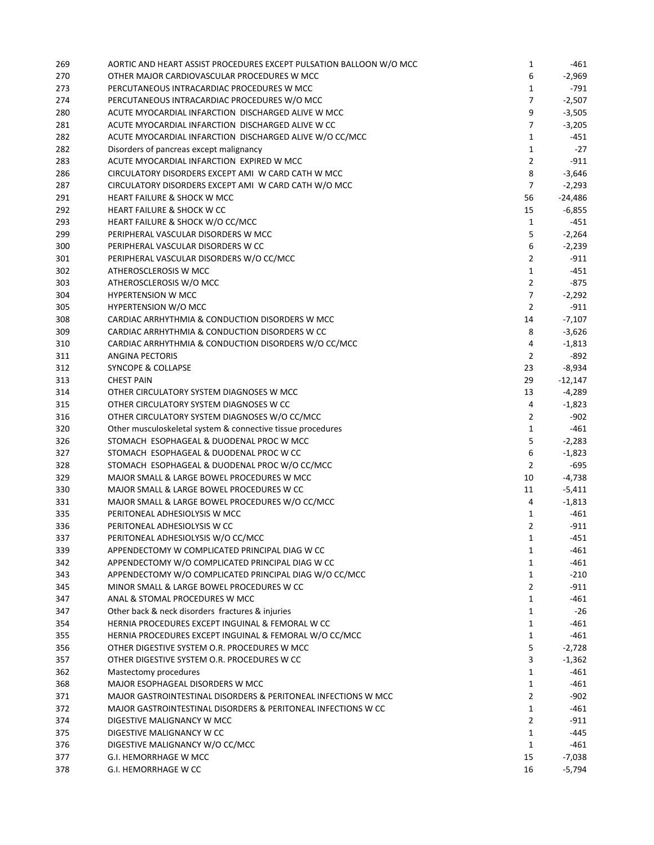| 269 | AORTIC AND HEART ASSIST PROCEDURES EXCEPT PULSATION BALLOON W/O MCC | 1              | -461      |
|-----|---------------------------------------------------------------------|----------------|-----------|
| 270 | OTHER MAJOR CARDIOVASCULAR PROCEDURES W MCC                         | 6              | $-2,969$  |
| 273 | PERCUTANEOUS INTRACARDIAC PROCEDURES W MCC                          | 1              | -791      |
| 274 | PERCUTANEOUS INTRACARDIAC PROCEDURES W/O MCC                        | $\overline{7}$ | $-2,507$  |
| 280 | ACUTE MYOCARDIAL INFARCTION DISCHARGED ALIVE W MCC                  | 9              | $-3,505$  |
| 281 | ACUTE MYOCARDIAL INFARCTION DISCHARGED ALIVE W CC                   | 7              | $-3,205$  |
| 282 | ACUTE MYOCARDIAL INFARCTION DISCHARGED ALIVE W/O CC/MCC             | 1              | -451      |
| 282 | Disorders of pancreas except malignancy                             | 1              | -27       |
| 283 | ACUTE MYOCARDIAL INFARCTION EXPIRED W MCC                           | $\overline{2}$ | -911      |
| 286 | CIRCULATORY DISORDERS EXCEPT AMI W CARD CATH W MCC                  | 8              | $-3,646$  |
| 287 | CIRCULATORY DISORDERS EXCEPT AMI W CARD CATH W/O MCC                | $\overline{7}$ | $-2,293$  |
| 291 | <b>HEART FAILURE &amp; SHOCK W MCC</b>                              | 56             | $-24,486$ |
| 292 | <b>HEART FAILURE &amp; SHOCK W CC</b>                               | 15             | $-6,855$  |
| 293 | HEART FAILURE & SHOCK W/O CC/MCC                                    | 1              | $-451$    |
| 299 | PERIPHERAL VASCULAR DISORDERS W MCC                                 | 5              | $-2,264$  |
| 300 | PERIPHERAL VASCULAR DISORDERS W CC                                  | 6              | $-2,239$  |
| 301 | PERIPHERAL VASCULAR DISORDERS W/O CC/MCC                            | $\overline{2}$ | -911      |
| 302 | ATHEROSCLEROSIS W MCC                                               | $\mathbf{1}$   | -451      |
| 303 | ATHEROSCLEROSIS W/O MCC                                             | $\overline{2}$ | $-875$    |
| 304 | <b>HYPERTENSION W MCC</b>                                           | $\overline{7}$ | $-2,292$  |
|     | HYPERTENSION W/O MCC                                                | $\overline{2}$ |           |
| 305 |                                                                     |                | -911      |
| 308 | CARDIAC ARRHYTHMIA & CONDUCTION DISORDERS W MCC                     | 14             | $-7,107$  |
| 309 | CARDIAC ARRHYTHMIA & CONDUCTION DISORDERS W CC                      | 8              | $-3,626$  |
| 310 | CARDIAC ARRHYTHMIA & CONDUCTION DISORDERS W/O CC/MCC                | 4              | $-1,813$  |
| 311 | <b>ANGINA PECTORIS</b>                                              | 2              | -892      |
| 312 | <b>SYNCOPE &amp; COLLAPSE</b>                                       | 23             | $-8,934$  |
| 313 | <b>CHEST PAIN</b>                                                   | 29             | $-12,147$ |
| 314 | OTHER CIRCULATORY SYSTEM DIAGNOSES W MCC                            | 13             | -4,289    |
| 315 | OTHER CIRCULATORY SYSTEM DIAGNOSES W CC                             | 4              | $-1,823$  |
| 316 | OTHER CIRCULATORY SYSTEM DIAGNOSES W/O CC/MCC                       | $\overline{2}$ | $-902$    |
| 320 | Other musculoskeletal system & connective tissue procedures         | $\mathbf{1}$   | -461      |
| 326 | STOMACH ESOPHAGEAL & DUODENAL PROC W MCC                            | 5              | $-2,283$  |
| 327 | STOMACH ESOPHAGEAL & DUODENAL PROC W CC                             | 6              | $-1,823$  |
| 328 | STOMACH ESOPHAGEAL & DUODENAL PROC W/O CC/MCC                       | $\overline{2}$ | $-695$    |
| 329 | MAJOR SMALL & LARGE BOWEL PROCEDURES W MCC                          | 10             | $-4,738$  |
| 330 | MAJOR SMALL & LARGE BOWEL PROCEDURES W CC                           | 11             | $-5,411$  |
| 331 | MAJOR SMALL & LARGE BOWEL PROCEDURES W/O CC/MCC                     | 4              | $-1,813$  |
| 335 | PERITONEAL ADHESIOLYSIS W MCC                                       | 1              | -461      |
| 336 | PERITONEAL ADHESIOLYSIS W CC                                        | $\overline{2}$ | $-911$    |
| 337 | PERITONEAL ADHESIOLYSIS W/O CC/MCC                                  | ı              | $-451$    |
| 339 | APPENDECTOMY W COMPLICATED PRINCIPAL DIAG W CC                      | 1              | $-461$    |
| 342 | APPENDECTOMY W/O COMPLICATED PRINCIPAL DIAG W CC                    | $\mathbf{1}$   | $-461$    |
| 343 | APPENDECTOMY W/O COMPLICATED PRINCIPAL DIAG W/O CC/MCC              | 1              | $-210$    |
| 345 | MINOR SMALL & LARGE BOWEL PROCEDURES W CC                           | $\overline{2}$ | $-911$    |
| 347 | ANAL & STOMAL PROCEDURES W MCC                                      | $\mathbf{1}$   | -461      |
| 347 | Other back & neck disorders fractures & injuries                    | $\mathbf{1}$   | $-26$     |
| 354 | HERNIA PROCEDURES EXCEPT INGUINAL & FEMORAL W CC                    | $\mathbf{1}$   | $-461$    |
| 355 | HERNIA PROCEDURES EXCEPT INGUINAL & FEMORAL W/O CC/MCC              | $\mathbf{1}$   | -461      |
| 356 | OTHER DIGESTIVE SYSTEM O.R. PROCEDURES W MCC                        | 5              | $-2,728$  |
| 357 | OTHER DIGESTIVE SYSTEM O.R. PROCEDURES W CC                         | 3              | $-1,362$  |
| 362 | Mastectomy procedures                                               | $\mathbf{1}$   | $-461$    |
| 368 | MAJOR ESOPHAGEAL DISORDERS W MCC                                    | $\mathbf{1}$   | -461      |
| 371 | MAJOR GASTROINTESTINAL DISORDERS & PERITONEAL INFECTIONS W MCC      | $\overline{2}$ | $-902$    |
| 372 | MAJOR GASTROINTESTINAL DISORDERS & PERITONEAL INFECTIONS W CC       | $\mathbf{1}$   | $-461$    |
| 374 | DIGESTIVE MALIGNANCY W MCC                                          | $\overline{2}$ | $-911$    |
| 375 | DIGESTIVE MALIGNANCY W CC                                           | $\mathbf{1}$   | -445      |
| 376 | DIGESTIVE MALIGNANCY W/O CC/MCC                                     | $\mathbf{1}$   | -461      |
| 377 | G.I. HEMORRHAGE W MCC                                               | 15             | -7,038    |
| 378 | G.I. HEMORRHAGE W CC                                                | 16             | -5,794    |
|     |                                                                     |                |           |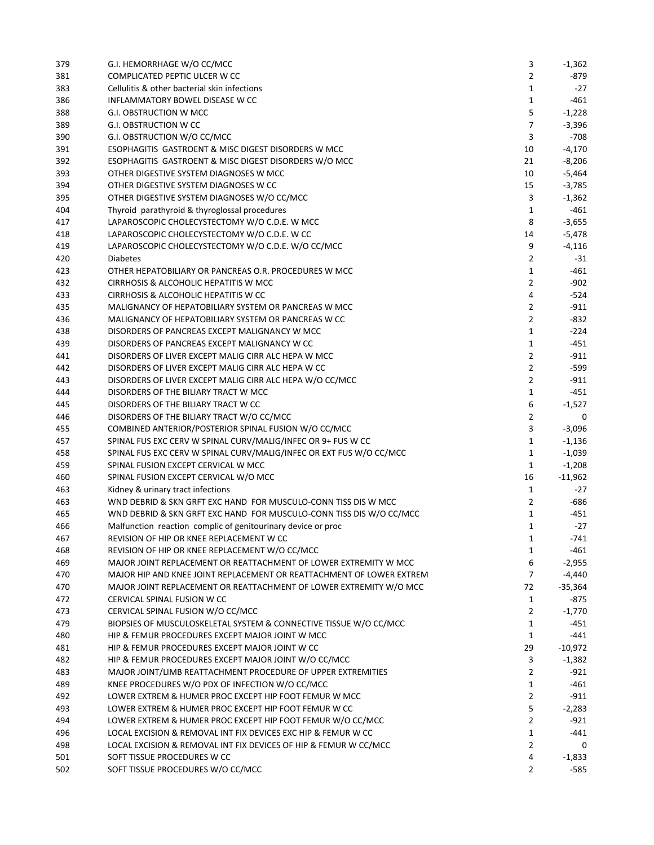| 379 | G.I. HEMORRHAGE W/O CC/MCC                                           | 3              | $-1,362$  |
|-----|----------------------------------------------------------------------|----------------|-----------|
| 381 | COMPLICATED PEPTIC ULCER W CC                                        | 2              | -879      |
| 383 | Cellulitis & other bacterial skin infections                         | 1              | $-27$     |
| 386 | INFLAMMATORY BOWEL DISEASE W CC                                      | 1              | $-461$    |
| 388 | G.I. OBSTRUCTION W MCC                                               | 5              | $-1,228$  |
| 389 | <b>G.I. OBSTRUCTION W CC</b>                                         | 7              | $-3,396$  |
| 390 | G.I. OBSTRUCTION W/O CC/MCC                                          | 3              | $-708$    |
| 391 | ESOPHAGITIS GASTROENT & MISC DIGEST DISORDERS W MCC                  | 10             | $-4,170$  |
| 392 | ESOPHAGITIS GASTROENT & MISC DIGEST DISORDERS W/O MCC                | 21             | $-8,206$  |
| 393 | OTHER DIGESTIVE SYSTEM DIAGNOSES W MCC                               | 10             | $-5,464$  |
| 394 | OTHER DIGESTIVE SYSTEM DIAGNOSES W CC                                | 15             | $-3,785$  |
| 395 | OTHER DIGESTIVE SYSTEM DIAGNOSES W/O CC/MCC                          | 3              | $-1,362$  |
| 404 | Thyroid parathyroid & thyroglossal procedures                        | 1              | -461      |
| 417 | LAPAROSCOPIC CHOLECYSTECTOMY W/O C.D.E. W MCC                        | 8              | $-3,655$  |
| 418 | LAPAROSCOPIC CHOLECYSTECTOMY W/O C.D.E. W CC                         | 14             | $-5,478$  |
| 419 | LAPAROSCOPIC CHOLECYSTECTOMY W/O C.D.E. W/O CC/MCC                   | 9              | $-4,116$  |
| 420 | <b>Diabetes</b>                                                      | 2              | -31       |
| 423 | OTHER HEPATOBILIARY OR PANCREAS O.R. PROCEDURES W MCC                | $\mathbf{1}$   | -461      |
| 432 | CIRRHOSIS & ALCOHOLIC HEPATITIS W MCC                                | $\overline{2}$ | -902      |
| 433 | CIRRHOSIS & ALCOHOLIC HEPATITIS W CC                                 | 4              | $-524$    |
| 435 | MALIGNANCY OF HEPATOBILIARY SYSTEM OR PANCREAS W MCC                 | 2              | $-911$    |
| 436 | MALIGNANCY OF HEPATOBILIARY SYSTEM OR PANCREAS W CC                  | 2              | $-832$    |
| 438 | DISORDERS OF PANCREAS EXCEPT MALIGNANCY W MCC                        | 1              | $-224$    |
| 439 | DISORDERS OF PANCREAS EXCEPT MALIGNANCY W CC                         | 1              | $-451$    |
| 441 | DISORDERS OF LIVER EXCEPT MALIG CIRR ALC HEPA W MCC                  | 2              | $-911$    |
| 442 | DISORDERS OF LIVER EXCEPT MALIG CIRR ALC HEPA W CC                   | 2              | -599      |
|     |                                                                      |                |           |
| 443 | DISORDERS OF LIVER EXCEPT MALIG CIRR ALC HEPA W/O CC/MCC             | $\overline{2}$ | $-911$    |
| 444 | DISORDERS OF THE BILIARY TRACT W MCC                                 | $\mathbf{1}$   | $-451$    |
| 445 | DISORDERS OF THE BILIARY TRACT W CC                                  | 6              | $-1,527$  |
| 446 | DISORDERS OF THE BILIARY TRACT W/O CC/MCC                            | $\overline{2}$ | 0         |
| 455 | COMBINED ANTERIOR/POSTERIOR SPINAL FUSION W/O CC/MCC                 | 3              | $-3,096$  |
| 457 | SPINAL FUS EXC CERV W SPINAL CURV/MALIG/INFEC OR 9+ FUS W CC         | 1              | $-1,136$  |
| 458 | SPINAL FUS EXC CERV W SPINAL CURV/MALIG/INFEC OR EXT FUS W/O CC/MCC  | 1              | $-1,039$  |
| 459 | SPINAL FUSION EXCEPT CERVICAL W MCC                                  | 1              | $-1,208$  |
| 460 | SPINAL FUSION EXCEPT CERVICAL W/O MCC                                | 16             | $-11,962$ |
| 463 | Kidney & urinary tract infections                                    | 1              | -27       |
| 463 | WND DEBRID & SKN GRFT EXC HAND FOR MUSCULO-CONN TISS DIS W MCC       | 2              | -686      |
| 465 | WND DEBRID & SKN GRFT EXC HAND FOR MUSCULO-CONN TISS DIS W/O CC/MCC  | $\mathbf{1}$   | -451      |
| 466 | Malfunction reaction complic of genitourinary device or proc         | $\mathbf{1}$   | $-27$     |
| 467 | REVISION OF HIP OR KNEE REPLACEMENT W CC                             | $\mathbf{1}$   | $-741$    |
| 468 | REVISION OF HIP OR KNEE REPLACEMENT W/O CC/MCC                       | 1              | -461      |
| 469 | MAJOR JOINT REPLACEMENT OR REATTACHMENT OF LOWER EXTREMITY W MCC     | 6              | $-2,955$  |
| 470 | MAJOR HIP AND KNEE JOINT REPLACEMENT OR REATTACHMENT OF LOWER EXTREM | 7              | -4,440    |
| 470 | MAJOR JOINT REPLACEMENT OR REATTACHMENT OF LOWER EXTREMITY W/O MCC   | 72             | $-35,364$ |
| 472 | <b>CERVICAL SPINAL FUSION W CC</b>                                   | $\mathbf{1}$   | -875      |
| 473 | CERVICAL SPINAL FUSION W/O CC/MCC                                    | $\overline{2}$ | $-1,770$  |
| 479 | BIOPSIES OF MUSCULOSKELETAL SYSTEM & CONNECTIVE TISSUE W/O CC/MCC    | 1              | -451      |
| 480 | HIP & FEMUR PROCEDURES EXCEPT MAJOR JOINT W MCC                      | $\mathbf{1}$   | -441      |
| 481 | HIP & FEMUR PROCEDURES EXCEPT MAJOR JOINT W CC                       | 29             | $-10,972$ |
| 482 | HIP & FEMUR PROCEDURES EXCEPT MAJOR JOINT W/O CC/MCC                 | 3              | $-1,382$  |
| 483 | MAJOR JOINT/LIMB REATTACHMENT PROCEDURE OF UPPER EXTREMITIES         | $\overline{2}$ | $-921$    |
| 489 | KNEE PROCEDURES W/O PDX OF INFECTION W/O CC/MCC                      | 1              | $-461$    |
| 492 | LOWER EXTREM & HUMER PROC EXCEPT HIP FOOT FEMUR W MCC                | $\overline{2}$ | $-911$    |
| 493 | LOWER EXTREM & HUMER PROC EXCEPT HIP FOOT FEMUR W CC                 | 5              | $-2,283$  |
| 494 | LOWER EXTREM & HUMER PROC EXCEPT HIP FOOT FEMUR W/O CC/MCC           | 2              | -921      |
| 496 | LOCAL EXCISION & REMOVAL INT FIX DEVICES EXC HIP & FEMUR W CC        | $\mathbf{1}$   | -441      |
| 498 | LOCAL EXCISION & REMOVAL INT FIX DEVICES OF HIP & FEMUR W CC/MCC     | $\overline{2}$ | 0         |
| 501 | SOFT TISSUE PROCEDURES W CC                                          | 4              | $-1,833$  |
| 502 | SOFT TISSUE PROCEDURES W/O CC/MCC                                    | 2              | -585      |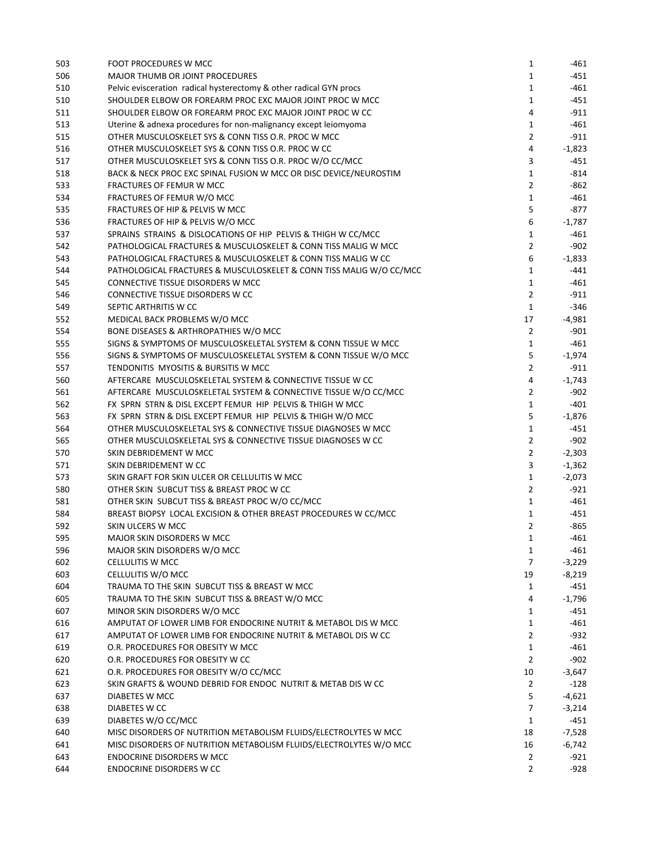| 503 | FOOT PROCEDURES W MCC                                               | 1              | -461     |
|-----|---------------------------------------------------------------------|----------------|----------|
| 506 | <b>MAJOR THUMB OR JOINT PROCEDURES</b>                              | 1              | $-451$   |
| 510 | Pelvic evisceration radical hysterectomy & other radical GYN procs  | 1              | $-461$   |
| 510 | SHOULDER ELBOW OR FOREARM PROC EXC MAJOR JOINT PROC W MCC           | 1              | $-451$   |
| 511 | SHOULDER ELBOW OR FOREARM PROC EXC MAJOR JOINT PROC W CC            | 4              | $-911$   |
| 513 | Uterine & adnexa procedures for non-malignancy except leiomyoma     | 1              | $-461$   |
| 515 | OTHER MUSCULOSKELET SYS & CONN TISS O.R. PROC W MCC                 | $\overline{2}$ | $-911$   |
| 516 | OTHER MUSCULOSKELET SYS & CONN TISS O.R. PROC W CC                  | 4              | $-1,823$ |
| 517 | OTHER MUSCULOSKELET SYS & CONN TISS O.R. PROC W/O CC/MCC            | 3              | -451     |
| 518 | BACK & NECK PROC EXC SPINAL FUSION W MCC OR DISC DEVICE/NEUROSTIM   | 1              | -814     |
| 533 | FRACTURES OF FEMUR W MCC                                            | 2              | -862     |
| 534 | FRACTURES OF FEMUR W/O MCC                                          | 1              | $-461$   |
|     | <b>FRACTURES OF HIP &amp; PELVIS W MCC</b>                          | 5              | $-877$   |
| 535 |                                                                     |                |          |
| 536 | FRACTURES OF HIP & PELVIS W/O MCC                                   | 6              | $-1,787$ |
| 537 | SPRAINS STRAINS & DISLOCATIONS OF HIP PELVIS & THIGH W CC/MCC       | 1              | -461     |
| 542 | PATHOLOGICAL FRACTURES & MUSCULOSKELET & CONN TISS MALIG W MCC      | 2              | -902     |
| 543 | PATHOLOGICAL FRACTURES & MUSCULOSKELET & CONN TISS MALIG W CC       | 6              | $-1,833$ |
| 544 | PATHOLOGICAL FRACTURES & MUSCULOSKELET & CONN TISS MALIG W/O CC/MCC | $\mathbf{1}$   | -441     |
| 545 | CONNECTIVE TISSUE DISORDERS W MCC                                   | $\mathbf{1}$   | -461     |
| 546 | CONNECTIVE TISSUE DISORDERS W CC                                    | $\overline{2}$ | $-911$   |
| 549 | SEPTIC ARTHRITIS W CC                                               | $\mathbf{1}$   | $-346$   |
| 552 | MEDICAL BACK PROBLEMS W/O MCC                                       | 17             | $-4,981$ |
| 554 | BONE DISEASES & ARTHROPATHIES W/O MCC                               | $\overline{2}$ | $-901$   |
| 555 | SIGNS & SYMPTOMS OF MUSCULOSKELETAL SYSTEM & CONN TISSUE W MCC      | 1              | $-461$   |
| 556 | SIGNS & SYMPTOMS OF MUSCULOSKELETAL SYSTEM & CONN TISSUE W/O MCC    | 5              | $-1,974$ |
| 557 | TENDONITIS MYOSITIS & BURSITIS W MCC                                | $\overline{2}$ | -911     |
| 560 | AFTERCARE MUSCULOSKELETAL SYSTEM & CONNECTIVE TISSUE W CC           | 4              | $-1,743$ |
| 561 | AFTERCARE MUSCULOSKELETAL SYSTEM & CONNECTIVE TISSUE W/O CC/MCC     | $\overline{2}$ | $-902$   |
| 562 | FX SPRN STRN & DISL EXCEPT FEMUR HIP PELVIS & THIGH W MCC           | $\mathbf{1}$   | -401     |
| 563 | FX SPRN STRN & DISL EXCEPT FEMUR HIP PELVIS & THIGH W/O MCC         | 5              | $-1,876$ |
| 564 | OTHER MUSCULOSKELETAL SYS & CONNECTIVE TISSUE DIAGNOSES W MCC       | 1              | -451     |
| 565 | OTHER MUSCULOSKELETAL SYS & CONNECTIVE TISSUE DIAGNOSES W CC        | $\overline{2}$ | $-902$   |
| 570 | SKIN DEBRIDEMENT W MCC                                              | $\overline{2}$ | $-2,303$ |
| 571 | SKIN DEBRIDEMENT W CC                                               | 3              | $-1,362$ |
| 573 | SKIN GRAFT FOR SKIN ULCER OR CELLULITIS W MCC                       | $\mathbf{1}$   | $-2,073$ |
| 580 | OTHER SKIN SUBCUT TISS & BREAST PROC W CC                           | $\overline{2}$ | -921     |
| 581 | OTHER SKIN SUBCUT TISS & BREAST PROC W/O CC/MCC                     | $\mathbf{1}$   | -461     |
| 584 | BREAST BIOPSY LOCAL EXCISION & OTHER BREAST PROCEDURES W CC/MCC     | 1              | $-451$   |
| 592 | SKIN ULCERS W MCC                                                   | $\overline{2}$ | -865     |
| 595 | MAJOR SKIN DISORDERS W MCC                                          |                | $-461$   |
|     |                                                                     | 1              |          |
| 596 | MAJOR SKIN DISORDERS W/O MCC                                        | 1              | -461     |
| 602 | <b>CELLULITIS W MCC</b>                                             | $\overline{7}$ | $-3,229$ |
| 603 | CELLULITIS W/O MCC                                                  | 19             | $-8,219$ |
| 604 | TRAUMA TO THE SKIN SUBCUT TISS & BREAST W MCC                       | 1              | -451     |
| 605 | TRAUMA TO THE SKIN SUBCUT TISS & BREAST W/O MCC                     | 4              | $-1,796$ |
| 607 | MINOR SKIN DISORDERS W/O MCC                                        | 1              | -451     |
| 616 | AMPUTAT OF LOWER LIMB FOR ENDOCRINE NUTRIT & METABOL DIS W MCC      | $\mathbf{1}$   | $-461$   |
| 617 | AMPUTAT OF LOWER LIMB FOR ENDOCRINE NUTRIT & METABOL DIS W CC       | $\overline{2}$ | $-932$   |
| 619 | O.R. PROCEDURES FOR OBESITY W MCC                                   | $\mathbf{1}$   | $-461$   |
| 620 | O.R. PROCEDURES FOR OBESITY W CC                                    | $\overline{2}$ | $-902$   |
| 621 | O.R. PROCEDURES FOR OBESITY W/O CC/MCC                              | 10             | -3,647   |
| 623 | SKIN GRAFTS & WOUND DEBRID FOR ENDOC NUTRIT & METAB DIS W CC        | 2              | $-128$   |
| 637 | DIABETES W MCC                                                      | 5              | -4,621   |
| 638 | DIABETES W CC                                                       | 7              | $-3,214$ |
| 639 | DIABETES W/O CC/MCC                                                 | 1              | -451     |
| 640 | MISC DISORDERS OF NUTRITION METABOLISM FLUIDS/ELECTROLYTES W MCC    | 18             | $-7,528$ |
| 641 | MISC DISORDERS OF NUTRITION METABOLISM FLUIDS/ELECTROLYTES W/O MCC  | 16             | $-6,742$ |
| 643 | <b>ENDOCRINE DISORDERS W MCC</b>                                    | $\overline{2}$ | -921     |
| 644 | <b>ENDOCRINE DISORDERS W CC</b>                                     | $\overline{2}$ | $-928$   |
|     |                                                                     |                |          |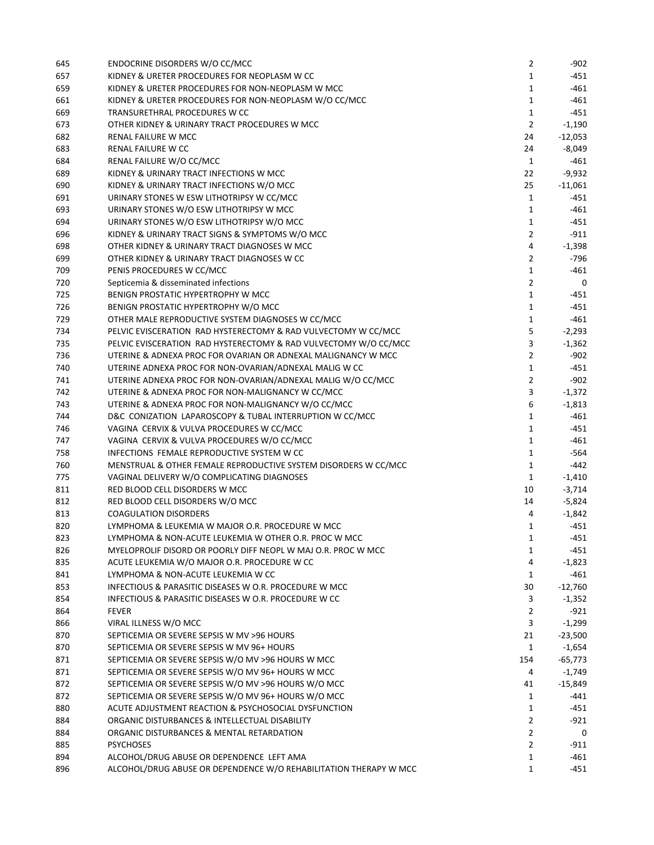| 645 | ENDOCRINE DISORDERS W/O CC/MCC                                    | 2                            | -902      |
|-----|-------------------------------------------------------------------|------------------------------|-----------|
| 657 | KIDNEY & URETER PROCEDURES FOR NEOPLASM W CC                      | $\mathbf{1}$                 | $-451$    |
| 659 | KIDNEY & URETER PROCEDURES FOR NON-NEOPLASM W MCC                 | 1                            | -461      |
| 661 | KIDNEY & URETER PROCEDURES FOR NON-NEOPLASM W/O CC/MCC            | $\mathbf{1}$                 | $-461$    |
| 669 | TRANSURETHRAL PROCEDURES W CC                                     | $\mathbf{1}$                 | $-451$    |
| 673 | OTHER KIDNEY & URINARY TRACT PROCEDURES W MCC                     | $\overline{2}$               | $-1,190$  |
| 682 | <b>RENAL FAILURE W MCC</b>                                        | 24                           | $-12,053$ |
| 683 | RENAL FAILURE W CC                                                | 24                           | -8,049    |
| 684 | RENAL FAILURE W/O CC/MCC                                          | 1                            | $-461$    |
| 689 | KIDNEY & URINARY TRACT INFECTIONS W MCC                           | 22                           | $-9,932$  |
| 690 | KIDNEY & URINARY TRACT INFECTIONS W/O MCC                         | 25                           | $-11,061$ |
| 691 | URINARY STONES W ESW LITHOTRIPSY W CC/MCC                         | $\mathbf{1}$                 | -451      |
| 693 | URINARY STONES W/O ESW LITHOTRIPSY W MCC                          | 1                            | -461      |
| 694 | URINARY STONES W/O ESW LITHOTRIPSY W/O MCC                        | 1                            | $-451$    |
| 696 | KIDNEY & URINARY TRACT SIGNS & SYMPTOMS W/O MCC                   | $\overline{2}$               | $-911$    |
| 698 | OTHER KIDNEY & URINARY TRACT DIAGNOSES W MCC                      | 4                            | $-1,398$  |
| 699 | OTHER KIDNEY & URINARY TRACT DIAGNOSES W CC                       | 2                            | $-796$    |
| 709 | PENIS PROCEDURES W CC/MCC                                         | $\mathbf{1}$                 | -461      |
| 720 | Septicemia & disseminated infections                              | $\overline{2}$               | 0         |
| 725 | BENIGN PROSTATIC HYPERTROPHY W MCC                                | $\mathbf{1}$                 | $-451$    |
| 726 | BENIGN PROSTATIC HYPERTROPHY W/O MCC                              | $\mathbf{1}$                 | $-451$    |
| 729 | OTHER MALE REPRODUCTIVE SYSTEM DIAGNOSES W CC/MCC                 | $\mathbf{1}$                 | $-461$    |
| 734 | PELVIC EVISCERATION RAD HYSTERECTOMY & RAD VULVECTOMY W CC/MCC    | 5                            | $-2,293$  |
| 735 | PELVIC EVISCERATION RAD HYSTERECTOMY & RAD VULVECTOMY W/O CC/MCC  | 3                            | $-1,362$  |
| 736 | UTERINE & ADNEXA PROC FOR OVARIAN OR ADNEXAL MALIGNANCY W MCC     | $\overline{2}$               | $-902$    |
| 740 | UTERINE ADNEXA PROC FOR NON-OVARIAN/ADNEXAL MALIG W CC            | $\mathbf{1}$                 | $-451$    |
| 741 | UTERINE ADNEXA PROC FOR NON-OVARIAN/ADNEXAL MALIG W/O CC/MCC      | 2                            | $-902$    |
| 742 | UTERINE & ADNEXA PROC FOR NON-MALIGNANCY W CC/MCC                 | 3                            |           |
| 743 | UTERINE & ADNEXA PROC FOR NON-MALIGNANCY W/O CC/MCC               | 6                            | $-1,372$  |
|     |                                                                   |                              | $-1,813$  |
| 744 | D&C CONIZATION LAPAROSCOPY & TUBAL INTERRUPTION W CC/MCC          | $\mathbf{1}$<br>$\mathbf{1}$ | $-461$    |
| 746 | VAGINA CERVIX & VULVA PROCEDURES W CC/MCC                         |                              | $-451$    |
| 747 | VAGINA CERVIX & VULVA PROCEDURES W/O CC/MCC                       | $\mathbf{1}$                 | -461      |
| 758 | INFECTIONS FEMALE REPRODUCTIVE SYSTEM W CC                        | $\mathbf{1}$                 | -564      |
| 760 | MENSTRUAL & OTHER FEMALE REPRODUCTIVE SYSTEM DISORDERS W CC/MCC   | $\mathbf{1}$                 | $-442$    |
| 775 | VAGINAL DELIVERY W/O COMPLICATING DIAGNOSES                       | $\mathbf{1}$                 | $-1,410$  |
| 811 | RED BLOOD CELL DISORDERS W MCC                                    | 10                           | $-3,714$  |
| 812 | RED BLOOD CELL DISORDERS W/O MCC                                  | 14                           | $-5,824$  |
| 813 | <b>COAGULATION DISORDERS</b>                                      | 4                            | $-1,842$  |
| 820 | LYMPHOMA & LEUKEMIA W MAJOR O.R. PROCEDURE W MCC                  | 1                            | -451      |
| 823 | LYMPHOMA & NON-ACUTE LEUKEMIA W OTHER O.R. PROC W MCC             | 1                            | $-451$    |
| 826 | MYELOPROLIF DISORD OR POORLY DIFF NEOPL W MAJ O.R. PROC W MCC     | 1                            | -451      |
| 835 | ACUTE LEUKEMIA W/O MAJOR O.R. PROCEDURE W CC                      | 4                            | $-1,823$  |
| 841 | LYMPHOMA & NON-ACUTE LEUKEMIA W CC                                | $\mathbf{1}$                 | -461      |
| 853 | INFECTIOUS & PARASITIC DISEASES W O.R. PROCEDURE W MCC            | 30                           | $-12,760$ |
| 854 | INFECTIOUS & PARASITIC DISEASES W O.R. PROCEDURE W CC             | 3                            | $-1,352$  |
| 864 | <b>FEVER</b>                                                      | $\overline{2}$               | -921      |
| 866 | VIRAL ILLNESS W/O MCC                                             | 3                            | $-1,299$  |
| 870 | SEPTICEMIA OR SEVERE SEPSIS W MV >96 HOURS                        | 21                           | $-23,500$ |
| 870 | SEPTICEMIA OR SEVERE SEPSIS W MV 96+ HOURS                        | $\mathbf{1}$                 | $-1,654$  |
| 871 | SEPTICEMIA OR SEVERE SEPSIS W/O MV >96 HOURS W MCC                | 154                          | $-65,773$ |
| 871 | SEPTICEMIA OR SEVERE SEPSIS W/O MV 96+ HOURS W MCC                | 4                            | $-1,749$  |
| 872 | SEPTICEMIA OR SEVERE SEPSIS W/O MV >96 HOURS W/O MCC              | 41                           | $-15,849$ |
| 872 | SEPTICEMIA OR SEVERE SEPSIS W/O MV 96+ HOURS W/O MCC              | 1                            | -441      |
| 880 | ACUTE ADJUSTMENT REACTION & PSYCHOSOCIAL DYSFUNCTION              | $\mathbf{1}$                 | $-451$    |
| 884 | ORGANIC DISTURBANCES & INTELLECTUAL DISABILITY                    | $\overline{2}$               | $-921$    |
| 884 | ORGANIC DISTURBANCES & MENTAL RETARDATION                         | $\overline{2}$               | 0         |
| 885 | <b>PSYCHOSES</b>                                                  | $\overline{2}$               | $-911$    |
| 894 | ALCOHOL/DRUG ABUSE OR DEPENDENCE LEFT AMA                         | 1                            | -461      |
| 896 | ALCOHOL/DRUG ABUSE OR DEPENDENCE W/O REHABILITATION THERAPY W MCC | $\mathbf{1}$                 | -451      |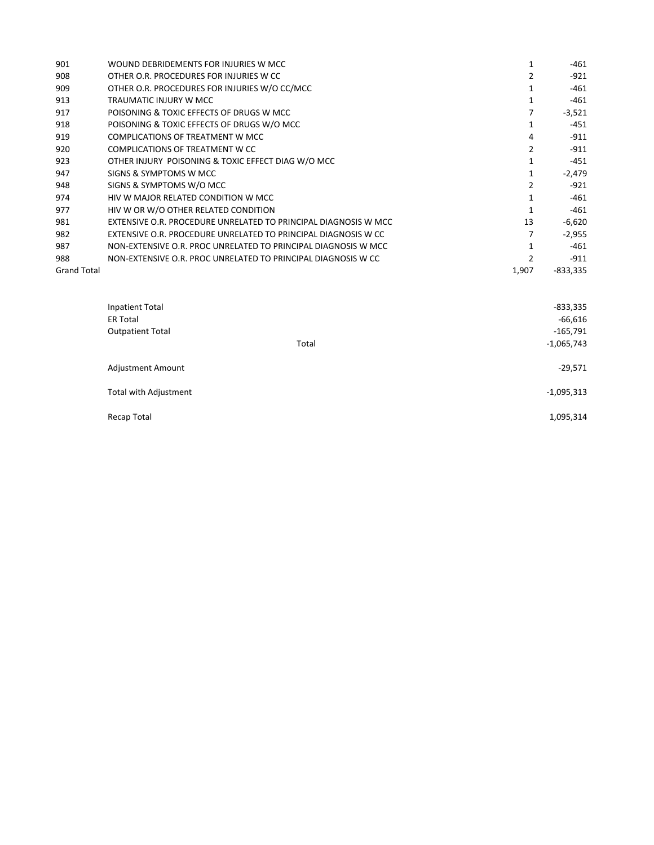| 901                | WOUND DEBRIDEMENTS FOR INJURIES W MCC.                           |               | $-461$     |
|--------------------|------------------------------------------------------------------|---------------|------------|
| 908                | OTHER O.R. PROCEDURES FOR INJURIES W CC.                         |               | $-921$     |
| 909                | OTHER O.R. PROCEDURES FOR INJURIES W/O CC/MCC                    |               | $-461$     |
| 913                | TRAUMATIC INJURY W MCC                                           |               | $-461$     |
| 917                | POISONING & TOXIC EFFECTS OF DRUGS W MCC                         |               | $-3,521$   |
| 918                | POISONING & TOXIC EFFECTS OF DRUGS W/O MCC                       |               | $-451$     |
| 919                | COMPLICATIONS OF TREATMENT W MCC                                 | 4             | $-911$     |
| 920                | COMPLICATIONS OF TREATMENT W CC                                  | $\mathcal{P}$ | $-911$     |
| 923                | OTHER INJURY POISONING & TOXIC EFFECT DIAG W/O MCC               |               | $-451$     |
| 947                | SIGNS & SYMPTOMS W MCC                                           |               | $-2,479$   |
| 948                | SIGNS & SYMPTOMS W/O MCC                                         |               | $-921$     |
| 974                | HIV W MAJOR RELATED CONDITION W MCC                              |               | $-461$     |
| 977                | HIV W OR W/O OTHER RELATED CONDITION                             |               | $-461$     |
| 981                | EXTENSIVE O.R. PROCEDURE UNRELATED TO PRINCIPAL DIAGNOSIS W MCC. | 13            | $-6,620$   |
| 982                | EXTENSIVE O.R. PROCEDURE UNRELATED TO PRINCIPAL DIAGNOSIS W CC   |               | $-2,955$   |
| 987                | NON-EXTENSIVE O.R. PROC UNRELATED TO PRINCIPAL DIAGNOSIS W MCC   |               | $-461$     |
| 988                | NON-EXTENSIVE O.R. PROC UNRELATED TO PRINCIPAL DIAGNOSIS W CC    |               | $-911$     |
| <b>Grand Total</b> |                                                                  | 1,907         | $-833,335$ |
|                    |                                                                  |               |            |

| Inpatient Total          |       | $-833,335$   |
|--------------------------|-------|--------------|
| <b>ER Total</b>          |       | $-66,616$    |
| <b>Outpatient Total</b>  |       | $-165,791$   |
|                          | Total | $-1,065,743$ |
| <b>Adjustment Amount</b> |       | $-29,571$    |
| Total with Adjustment    |       | $-1,095,313$ |
| Recap Total              |       | 1,095,314    |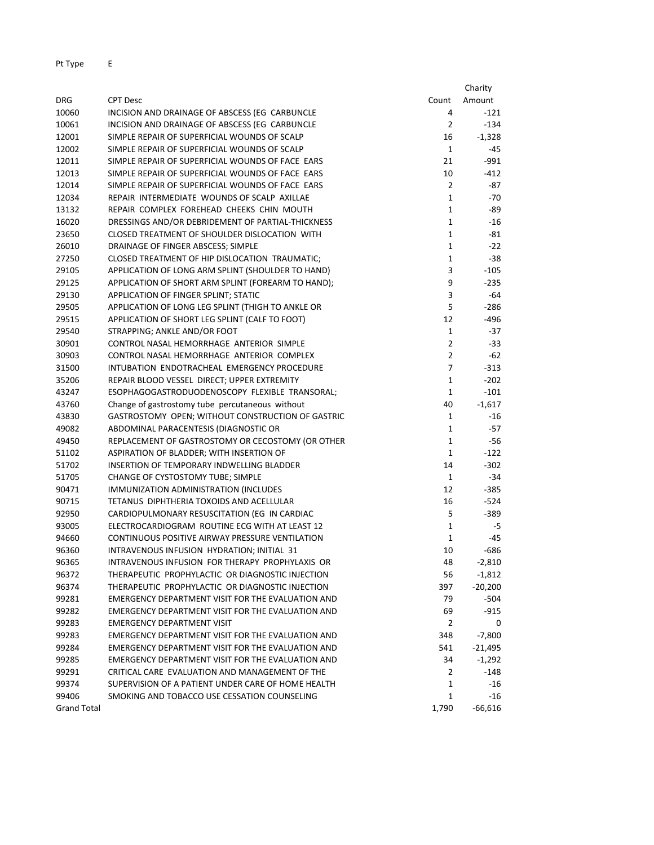| Amount<br>Count<br><b>DRG</b><br><b>CPT Desc</b><br>10060<br>INCISION AND DRAINAGE OF ABSCESS (EG CARBUNCLE<br>4<br>10061<br>INCISION AND DRAINAGE OF ABSCESS (EG CARBUNCLE<br>2<br>12001<br>SIMPLE REPAIR OF SUPERFICIAL WOUNDS OF SCALP<br>16 | -121<br>$-134$<br>$-1,328$<br>-45 |
|-------------------------------------------------------------------------------------------------------------------------------------------------------------------------------------------------------------------------------------------------|-----------------------------------|
|                                                                                                                                                                                                                                                 |                                   |
|                                                                                                                                                                                                                                                 |                                   |
|                                                                                                                                                                                                                                                 |                                   |
|                                                                                                                                                                                                                                                 |                                   |
| 12002<br>SIMPLE REPAIR OF SUPERFICIAL WOUNDS OF SCALP<br>$\mathbf{1}$                                                                                                                                                                           |                                   |
| 12011<br>SIMPLE REPAIR OF SUPERFICIAL WOUNDS OF FACE EARS<br>21                                                                                                                                                                                 | $-991$                            |
| 12013<br>SIMPLE REPAIR OF SUPERFICIAL WOUNDS OF FACE EARS<br>10                                                                                                                                                                                 | $-412$                            |
| $\overline{2}$<br>12014<br>SIMPLE REPAIR OF SUPERFICIAL WOUNDS OF FACE EARS                                                                                                                                                                     | -87                               |
| 12034<br>REPAIR INTERMEDIATE WOUNDS OF SCALP AXILLAE<br>$\mathbf{1}$                                                                                                                                                                            | $-70$                             |
| $1\,$<br>13132<br>REPAIR COMPLEX FOREHEAD CHEEKS CHIN MOUTH                                                                                                                                                                                     | -89                               |
| $\mathbf 1$<br>16020<br>DRESSINGS AND/OR DEBRIDEMENT OF PARTIAL-THICKNESS                                                                                                                                                                       | -16                               |
| 23650<br>CLOSED TREATMENT OF SHOULDER DISLOCATION WITH<br>$\mathbf{1}$                                                                                                                                                                          | -81                               |
| $\mathbf 1$<br>26010<br>DRAINAGE OF FINGER ABSCESS; SIMPLE                                                                                                                                                                                      | $-22$                             |
| 27250<br>$\mathbf 1$<br>CLOSED TREATMENT OF HIP DISLOCATION TRAUMATIC;                                                                                                                                                                          | $-38$                             |
| 29105<br>APPLICATION OF LONG ARM SPLINT (SHOULDER TO HAND)<br>3                                                                                                                                                                                 | $-105$                            |
| 29125<br>APPLICATION OF SHORT ARM SPLINT (FOREARM TO HAND);<br>9                                                                                                                                                                                | $-235$                            |
| 29130<br>APPLICATION OF FINGER SPLINT; STATIC<br>3                                                                                                                                                                                              | -64                               |
| 5<br>29505<br>APPLICATION OF LONG LEG SPLINT (THIGH TO ANKLE OR                                                                                                                                                                                 | $-286$                            |
| 29515<br>APPLICATION OF SHORT LEG SPLINT (CALF TO FOOT)<br>12                                                                                                                                                                                   | -496                              |
| 29540<br>$\mathbf{1}$<br>STRAPPING; ANKLE AND/OR FOOT                                                                                                                                                                                           | $-37$                             |
| $\overline{2}$<br>30901<br>CONTROL NASAL HEMORRHAGE ANTERIOR SIMPLE                                                                                                                                                                             | -33                               |
| 30903<br>CONTROL NASAL HEMORRHAGE ANTERIOR COMPLEX<br>$\overline{2}$                                                                                                                                                                            | -62                               |
| $\overline{7}$<br>31500<br>INTUBATION ENDOTRACHEAL EMERGENCY PROCEDURE                                                                                                                                                                          | $-313$                            |
| 35206<br>REPAIR BLOOD VESSEL DIRECT; UPPER EXTREMITY<br>$\mathbf 1$                                                                                                                                                                             | $-202$                            |
| 43247<br>ESOPHAGOGASTRODUODENOSCOPY FLEXIBLE TRANSORAL;<br>$\mathbf{1}$                                                                                                                                                                         | $-101$                            |
| 43760<br>Change of gastrostomy tube percutaneous without<br>40                                                                                                                                                                                  | $-1,617$                          |
| 43830<br>GASTROSTOMY OPEN; WITHOUT CONSTRUCTION OF GASTRIC<br>1                                                                                                                                                                                 | $-16$                             |
| $\mathbf{1}$<br>49082<br>ABDOMINAL PARACENTESIS (DIAGNOSTIC OR                                                                                                                                                                                  | -57                               |
| $\mathbf 1$<br>49450<br>REPLACEMENT OF GASTROSTOMY OR CECOSTOMY (OR OTHER                                                                                                                                                                       | $-56$                             |
| $\mathbf{1}$<br>51102<br>ASPIRATION OF BLADDER; WITH INSERTION OF                                                                                                                                                                               | $-122$                            |
| 14<br>51702<br>INSERTION OF TEMPORARY INDWELLING BLADDER                                                                                                                                                                                        | $-302$                            |
| $\mathbf{1}$<br>51705<br>CHANGE OF CYSTOSTOMY TUBE; SIMPLE                                                                                                                                                                                      | $-34$                             |
| 90471<br>IMMUNIZATION ADMINISTRATION (INCLUDES<br>12                                                                                                                                                                                            | $-385$                            |
| 90715<br>TETANUS DIPHTHERIA TOXOIDS AND ACELLULAR<br>16                                                                                                                                                                                         | -524                              |
| 5<br>92950<br>CARDIOPULMONARY RESUSCITATION (EG IN CARDIAC                                                                                                                                                                                      | -389                              |
| 93005<br>ELECTROCARDIOGRAM ROUTINE ECG WITH AT LEAST 12<br>$\mathbf{1}$                                                                                                                                                                         | -5                                |
| CONTINUOUS POSITIVE AIRWAY PRESSURE VENTILATION<br>94660<br>1                                                                                                                                                                                   | $-45$                             |
| 96360<br>INTRAVENOUS INFUSION HYDRATION; INITIAL 31<br>10                                                                                                                                                                                       | $-686$                            |
| INTRAVENOUS INFUSION FOR THERAPY PROPHYLAXIS OR<br>96365<br>48                                                                                                                                                                                  | $-2,810$                          |
| 96372<br>THERAPEUTIC PROPHYLACTIC OR DIAGNOSTIC INJECTION<br>56                                                                                                                                                                                 | $-1,812$                          |
| 96374<br>THERAPEUTIC PROPHYLACTIC OR DIAGNOSTIC INJECTION<br>397                                                                                                                                                                                | $-20,200$                         |
| EMERGENCY DEPARTMENT VISIT FOR THE EVALUATION AND<br>99281<br>79                                                                                                                                                                                | -504                              |
| EMERGENCY DEPARTMENT VISIT FOR THE EVALUATION AND<br>99282<br>69                                                                                                                                                                                | -915                              |
| 99283<br>EMERGENCY DEPARTMENT VISIT<br>2                                                                                                                                                                                                        | 0                                 |
| EMERGENCY DEPARTMENT VISIT FOR THE EVALUATION AND<br>99283<br>348                                                                                                                                                                               | $-7,800$                          |
| 99284<br>EMERGENCY DEPARTMENT VISIT FOR THE EVALUATION AND<br>541                                                                                                                                                                               | $-21,495$                         |
| 99285<br>EMERGENCY DEPARTMENT VISIT FOR THE EVALUATION AND<br>34                                                                                                                                                                                | -1,292                            |
| 99291<br>CRITICAL CARE EVALUATION AND MANAGEMENT OF THE<br>2                                                                                                                                                                                    | -148                              |
| 99374<br>SUPERVISION OF A PATIENT UNDER CARE OF HOME HEALTH<br>1                                                                                                                                                                                | $-16$                             |
| $\mathbf 1$<br>99406<br>SMOKING AND TOBACCO USE CESSATION COUNSELING                                                                                                                                                                            | $-16$                             |
| <b>Grand Total</b><br>1,790                                                                                                                                                                                                                     | $-66,616$                         |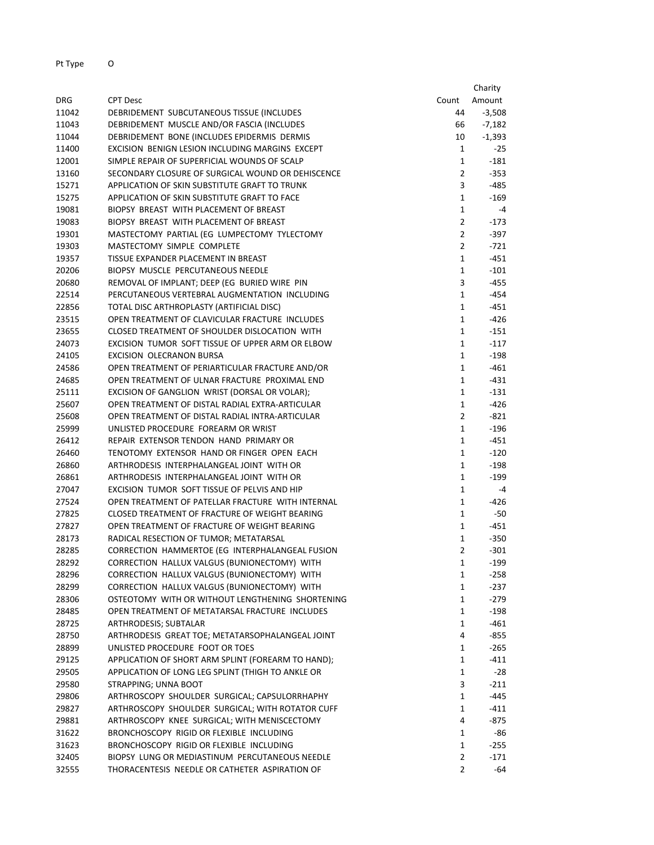|       |                                                    |                | Charity  |
|-------|----------------------------------------------------|----------------|----------|
| DRG   | <b>CPT Desc</b>                                    | Count          | Amount   |
| 11042 | DEBRIDEMENT SUBCUTANEOUS TISSUE (INCLUDES          | 44             | $-3,508$ |
| 11043 | DEBRIDEMENT MUSCLE AND/OR FASCIA (INCLUDES         | 66             | $-7,182$ |
| 11044 | DEBRIDEMENT BONE (INCLUDES EPIDERMIS DERMIS        | 10             | $-1,393$ |
| 11400 | EXCISION BENIGN LESION INCLUDING MARGINS EXCEPT    | $\mathbf{1}$   | -25      |
| 12001 | SIMPLE REPAIR OF SUPERFICIAL WOUNDS OF SCALP       | $\mathbf{1}$   | $-181$   |
| 13160 | SECONDARY CLOSURE OF SURGICAL WOUND OR DEHISCENCE  | $\overline{2}$ | $-353$   |
| 15271 | APPLICATION OF SKIN SUBSTITUTE GRAFT TO TRUNK      | 3              | -485     |
| 15275 | APPLICATION OF SKIN SUBSTITUTE GRAFT TO FACE       | $\mathbf{1}$   | -169     |
| 19081 | BIOPSY BREAST WITH PLACEMENT OF BREAST             | $\mathbf{1}$   | -4       |
| 19083 | BIOPSY BREAST WITH PLACEMENT OF BREAST             | $\overline{2}$ | -173     |
| 19301 | MASTECTOMY PARTIAL (EG LUMPECTOMY TYLECTOMY        | $\overline{2}$ | -397     |
| 19303 | MASTECTOMY SIMPLE COMPLETE                         | $\overline{2}$ | -721     |
| 19357 | TISSUE EXPANDER PLACEMENT IN BREAST                | $\mathbf{1}$   | -451     |
| 20206 | <b>BIOPSY MUSCLE PERCUTANEOUS NEEDLE</b>           | $\mathbf{1}$   | -101     |
| 20680 | REMOVAL OF IMPLANT; DEEP (EG BURIED WIRE PIN       | 3              | $-455$   |
| 22514 | PERCUTANEOUS VERTEBRAL AUGMENTATION INCLUDING      | $\mathbf{1}$   | -454     |
| 22856 | TOTAL DISC ARTHROPLASTY (ARTIFICIAL DISC)          | $\mathbf{1}$   | $-451$   |
| 23515 | OPEN TREATMENT OF CLAVICULAR FRACTURE INCLUDES     | $\mathbf{1}$   | -426     |
| 23655 | CLOSED TREATMENT OF SHOULDER DISLOCATION WITH      | $\mathbf{1}$   | $-151$   |
| 24073 | EXCISION TUMOR SOFT TISSUE OF UPPER ARM OR ELBOW   | $\mathbf{1}$   | $-117$   |
| 24105 | EXCISION OLECRANON BURSA                           | $\mathbf{1}$   | $-198$   |
| 24586 | OPEN TREATMENT OF PERIARTICULAR FRACTURE AND/OR    | 1              | $-461$   |
| 24685 | OPEN TREATMENT OF ULNAR FRACTURE PROXIMAL END      | $\mathbf{1}$   | $-431$   |
| 25111 | EXCISION OF GANGLION WRIST (DORSAL OR VOLAR);      | $\mathbf{1}$   | $-131$   |
| 25607 | OPEN TREATMENT OF DISTAL RADIAL EXTRA-ARTICULAR    | $\mathbf{1}$   | $-426$   |
| 25608 | OPEN TREATMENT OF DISTAL RADIAL INTRA-ARTICULAR    | $\overline{2}$ | $-821$   |
| 25999 | UNLISTED PROCEDURE FOREARM OR WRIST                | $\mathbf{1}$   | -196     |
| 26412 | REPAIR EXTENSOR TENDON HAND PRIMARY OR             | $\mathbf{1}$   | $-451$   |
| 26460 | TENOTOMY EXTENSOR HAND OR FINGER OPEN EACH         | $\mathbf{1}$   | -120     |
| 26860 | ARTHRODESIS INTERPHALANGEAL JOINT WITH OR          | $\mathbf{1}$   | -198     |
| 26861 | ARTHRODESIS INTERPHALANGEAL JOINT WITH OR          | 1              | -199     |
| 27047 | EXCISION TUMOR SOFT TISSUE OF PELVIS AND HIP       | 1              | -4       |
| 27524 | OPEN TREATMENT OF PATELLAR FRACTURE WITH INTERNAL  | $\mathbf{1}$   | $-426$   |
| 27825 | CLOSED TREATMENT OF FRACTURE OF WEIGHT BEARING     | $\mathbf{1}$   | -50      |
| 27827 | OPEN TREATMENT OF FRACTURE OF WEIGHT BEARING       | $\mathbf{1}$   | -451     |
| 28173 | RADICAL RESECTION OF TUMOR; METATARSAL             | $\mathbf{1}$   | -350     |
| 28285 | CORRECTION HAMMERTOE (EG INTERPHALANGEAL FUSION    | $\overline{2}$ | -301     |
| 28292 | CORRECTION HALLUX VALGUS (BUNIONECTOMY) WITH       | 1              | -199     |
| 28296 | CORRECTION HALLUX VALGUS (BUNIONECTOMY) WITH       | $\mathbf{1}$   | -258     |
| 28299 | CORRECTION HALLUX VALGUS (BUNIONECTOMY) WITH       | $\mathbf{1}$   | -237     |
| 28306 | OSTEOTOMY WITH OR WITHOUT LENGTHENING SHORTENING   | $\mathbf{1}$   | $-279$   |
| 28485 | OPEN TREATMENT OF METATARSAL FRACTURE INCLUDES     | $\mathbf{1}$   | -198     |
| 28725 | ARTHRODESIS; SUBTALAR                              | $\mathbf{1}$   | $-461$   |
| 28750 | ARTHRODESIS GREAT TOE; METATARSOPHALANGEAL JOINT   | 4              | -855     |
| 28899 | UNLISTED PROCEDURE FOOT OR TOES                    | $\mathbf{1}$   | $-265$   |
| 29125 | APPLICATION OF SHORT ARM SPLINT (FOREARM TO HAND); | $\mathbf{1}$   | $-411$   |
| 29505 | APPLICATION OF LONG LEG SPLINT (THIGH TO ANKLE OR  | $\mathbf{1}$   | -28      |
| 29580 | STRAPPING; UNNA BOOT                               | 3              | $-211$   |
| 29806 | ARTHROSCOPY SHOULDER SURGICAL; CAPSULORRHAPHY      | $\mathbf{1}$   | -445     |
| 29827 | ARTHROSCOPY SHOULDER SURGICAL; WITH ROTATOR CUFF   | $\mathbf{1}$   | $-411$   |
| 29881 | ARTHROSCOPY KNEE SURGICAL; WITH MENISCECTOMY       | 4              | $-875$   |
| 31622 | BRONCHOSCOPY RIGID OR FLEXIBLE INCLUDING           | $\mathbf{1}$   | -86      |
| 31623 | BRONCHOSCOPY RIGID OR FLEXIBLE INCLUDING           | $\mathbf{1}$   | $-255$   |
| 32405 | BIOPSY LUNG OR MEDIASTINUM PERCUTANEOUS NEEDLE     | $\overline{2}$ | $-171$   |
| 32555 | THORACENTESIS NEEDLE OR CATHETER ASPIRATION OF     | $\overline{2}$ | -64      |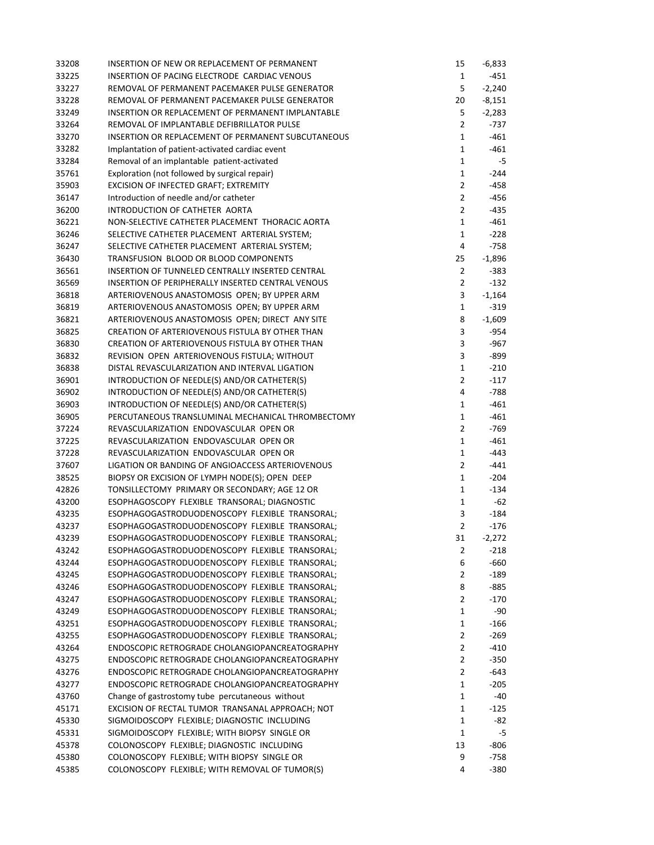| 33208 | INSERTION OF NEW OR REPLACEMENT OF PERMANENT                                                       | 15             | $-6,833$ |
|-------|----------------------------------------------------------------------------------------------------|----------------|----------|
| 33225 | INSERTION OF PACING ELECTRODE CARDIAC VENOUS                                                       | 1              | -451     |
| 33227 | REMOVAL OF PERMANENT PACEMAKER PULSE GENERATOR                                                     | 5              | $-2,240$ |
| 33228 | REMOVAL OF PERMANENT PACEMAKER PULSE GENERATOR                                                     | 20             | $-8,151$ |
| 33249 | INSERTION OR REPLACEMENT OF PERMANENT IMPLANTABLE                                                  | 5              | $-2,283$ |
| 33264 | REMOVAL OF IMPLANTABLE DEFIBRILLATOR PULSE                                                         | $\overline{2}$ | -737     |
| 33270 | <b>INSERTION OR REPLACEMENT OF PERMANENT SUBCUTANEOUS</b>                                          | 1              | -461     |
| 33282 | Implantation of patient-activated cardiac event                                                    | $\mathbf{1}$   | $-461$   |
| 33284 | Removal of an implantable patient-activated                                                        | $\mathbf{1}$   | -5       |
| 35761 | Exploration (not followed by surgical repair)                                                      | $\mathbf 1$    | $-244$   |
| 35903 | EXCISION OF INFECTED GRAFT; EXTREMITY                                                              | $\overline{2}$ | -458     |
| 36147 | Introduction of needle and/or catheter                                                             | $\overline{2}$ | -456     |
| 36200 | INTRODUCTION OF CATHETER AORTA                                                                     | $\overline{2}$ | -435     |
| 36221 | NON-SELECTIVE CATHETER PLACEMENT THORACIC AORTA                                                    | $\mathbf{1}$   | -461     |
| 36246 | SELECTIVE CATHETER PLACEMENT ARTERIAL SYSTEM;                                                      | 1              | $-228$   |
| 36247 | SELECTIVE CATHETER PLACEMENT ARTERIAL SYSTEM;                                                      | 4              | $-758$   |
| 36430 | TRANSFUSION BLOOD OR BLOOD COMPONENTS                                                              | 25             | $-1,896$ |
| 36561 | INSERTION OF TUNNELED CENTRALLY INSERTED CENTRAL                                                   | $\overline{2}$ | $-383$   |
| 36569 | INSERTION OF PERIPHERALLY INSERTED CENTRAL VENOUS                                                  | $\overline{2}$ | $-132$   |
| 36818 | ARTERIOVENOUS ANASTOMOSIS OPEN; BY UPPER ARM                                                       | 3              | $-1,164$ |
| 36819 | ARTERIOVENOUS ANASTOMOSIS OPEN; BY UPPER ARM                                                       | $\mathbf 1$    | $-319$   |
| 36821 | ARTERIOVENOUS ANASTOMOSIS OPEN; DIRECT ANY SITE                                                    | 8              | $-1,609$ |
| 36825 | CREATION OF ARTERIOVENOUS FISTULA BY OTHER THAN                                                    | 3              | $-954$   |
| 36830 | CREATION OF ARTERIOVENOUS FISTULA BY OTHER THAN                                                    | 3              | $-967$   |
| 36832 | REVISION OPEN ARTERIOVENOUS FISTULA; WITHOUT                                                       | 3              | -899     |
| 36838 | DISTAL REVASCULARIZATION AND INTERVAL LIGATION                                                     | $\mathbf{1}$   | $-210$   |
| 36901 | INTRODUCTION OF NEEDLE(S) AND/OR CATHETER(S)                                                       | $\overline{2}$ | $-117$   |
| 36902 | INTRODUCTION OF NEEDLE(S) AND/OR CATHETER(S)                                                       | 4              | $-788$   |
| 36903 | INTRODUCTION OF NEEDLE(S) AND/OR CATHETER(S)                                                       | $\mathbf{1}$   | -461     |
| 36905 | PERCUTANEOUS TRANSLUMINAL MECHANICAL THROMBECTOMY                                                  | $\mathbf 1$    | $-461$   |
| 37224 | REVASCULARIZATION ENDOVASCULAR OPEN OR                                                             | $\overline{2}$ | -769     |
|       |                                                                                                    |                |          |
| 37225 | REVASCULARIZATION ENDOVASCULAR OPEN OR                                                             | 1              | -461     |
| 37228 | REVASCULARIZATION ENDOVASCULAR OPEN OR                                                             | 1              | -443     |
| 37607 | LIGATION OR BANDING OF ANGIOACCESS ARTERIOVENOUS<br>BIOPSY OR EXCISION OF LYMPH NODE(S); OPEN DEEP | $\overline{2}$ | -441     |
| 38525 |                                                                                                    | $\mathbf{1}$   | $-204$   |
| 42826 | TONSILLECTOMY PRIMARY OR SECONDARY; AGE 12 OR                                                      | $\mathbf{1}$   | $-134$   |
| 43200 | ESOPHAGOSCOPY FLEXIBLE TRANSORAL; DIAGNOSTIC                                                       | 1              | -62      |
| 43235 | ESOPHAGOGASTRODUODENOSCOPY FLEXIBLE TRANSORAL;                                                     | 3              | $-184$   |
| 43237 | ESOPHAGOGASTRODUODENOSCOPY FLEXIBLE TRANSORAL;                                                     | $\overline{2}$ | -176     |
| 43239 | ESOPHAGOGASTRODUODENOSCOPY FLEXIBLE TRANSORAL;                                                     | 31             | $-2,272$ |
| 43242 | ESOPHAGOGASTRODUODENOSCOPY FLEXIBLE TRANSORAL;                                                     | 2              | $-218$   |
| 43244 | ESOPHAGOGASTRODUODENOSCOPY FLEXIBLE TRANSORAL;                                                     | 6              | $-660$   |
| 43245 | ESOPHAGOGASTRODUODENOSCOPY FLEXIBLE TRANSORAL;                                                     | $\overline{2}$ | $-189$   |
| 43246 | ESOPHAGOGASTRODUODENOSCOPY FLEXIBLE TRANSORAL;                                                     | 8              | $-885$   |
| 43247 | ESOPHAGOGASTRODUODENOSCOPY FLEXIBLE TRANSORAL;                                                     | $\overline{2}$ | $-170$   |
| 43249 | ESOPHAGOGASTRODUODENOSCOPY FLEXIBLE TRANSORAL;                                                     | 1              | -90      |
| 43251 | ESOPHAGOGASTRODUODENOSCOPY FLEXIBLE TRANSORAL;                                                     | 1              | -166     |
| 43255 | ESOPHAGOGASTRODUODENOSCOPY FLEXIBLE TRANSORAL;                                                     | $\overline{2}$ | $-269$   |
| 43264 | ENDOSCOPIC RETROGRADE CHOLANGIOPANCREATOGRAPHY                                                     | $\overline{2}$ | $-410$   |
| 43275 | ENDOSCOPIC RETROGRADE CHOLANGIOPANCREATOGRAPHY                                                     | $\overline{2}$ | $-350$   |
| 43276 | ENDOSCOPIC RETROGRADE CHOLANGIOPANCREATOGRAPHY                                                     | $\overline{2}$ | $-643$   |
| 43277 | ENDOSCOPIC RETROGRADE CHOLANGIOPANCREATOGRAPHY                                                     | 1              | $-205$   |
| 43760 | Change of gastrostomy tube percutaneous without                                                    | 1              | -40      |
| 45171 | EXCISION OF RECTAL TUMOR TRANSANAL APPROACH; NOT                                                   | $\mathbf{1}$   | $-125$   |
| 45330 | SIGMOIDOSCOPY FLEXIBLE; DIAGNOSTIC INCLUDING                                                       | 1              | -82      |
| 45331 | SIGMOIDOSCOPY FLEXIBLE; WITH BIOPSY SINGLE OR                                                      | 1              | -5       |
| 45378 | COLONOSCOPY FLEXIBLE; DIAGNOSTIC INCLUDING                                                         | 13             | -806     |
| 45380 | COLONOSCOPY FLEXIBLE; WITH BIOPSY SINGLE OR                                                        | 9              | $-758$   |
| 45385 | COLONOSCOPY FLEXIBLE; WITH REMOVAL OF TUMOR(S)                                                     | 4              | $-380$   |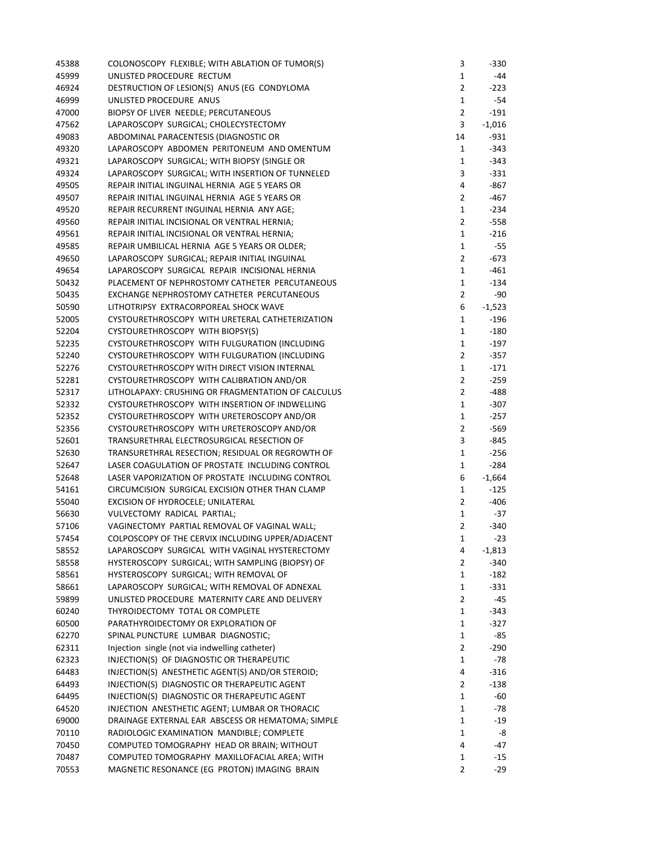| 45388 | COLONOSCOPY FLEXIBLE; WITH ABLATION OF TUMOR(S)    | 3              | -330     |
|-------|----------------------------------------------------|----------------|----------|
| 45999 | UNLISTED PROCEDURE RECTUM                          | $\mathbf{1}$   | -44      |
| 46924 | DESTRUCTION OF LESION(S) ANUS (EG CONDYLOMA        | $\overline{2}$ | $-223$   |
| 46999 | UNLISTED PROCEDURE ANUS                            | $\mathbf{1}$   | -54      |
| 47000 | BIOPSY OF LIVER NEEDLE; PERCUTANEOUS               | $\overline{2}$ | -191     |
| 47562 | LAPAROSCOPY SURGICAL; CHOLECYSTECTOMY              | 3              | $-1,016$ |
| 49083 | ABDOMINAL PARACENTESIS (DIAGNOSTIC OR              | 14             | -931     |
| 49320 | LAPAROSCOPY ABDOMEN PERITONEUM AND OMENTUM         | $\mathbf{1}$   | $-343$   |
| 49321 | LAPAROSCOPY SURGICAL; WITH BIOPSY (SINGLE OR       | $\mathbf{1}$   | $-343$   |
| 49324 | LAPAROSCOPY SURGICAL; WITH INSERTION OF TUNNELED   | 3              | -331     |
| 49505 | REPAIR INITIAL INGUINAL HERNIA AGE 5 YEARS OR      | 4              | -867     |
| 49507 | REPAIR INITIAL INGUINAL HERNIA AGE 5 YEARS OR      | $\overline{2}$ | -467     |
| 49520 | REPAIR RECURRENT INGUINAL HERNIA ANY AGE;          | $\mathbf{1}$   | $-234$   |
| 49560 | REPAIR INITIAL INCISIONAL OR VENTRAL HERNIA;       | $\overline{2}$ | -558     |
| 49561 | REPAIR INITIAL INCISIONAL OR VENTRAL HERNIA;       | $\mathbf{1}$   | $-216$   |
| 49585 | REPAIR UMBILICAL HERNIA AGE 5 YEARS OR OLDER;      | $\mathbf{1}$   | -55      |
| 49650 | LAPAROSCOPY SURGICAL; REPAIR INITIAL INGUINAL      | $\overline{2}$ | $-673$   |
| 49654 | LAPAROSCOPY SURGICAL REPAIR INCISIONAL HERNIA      | $\mathbf{1}$   | $-461$   |
| 50432 | PLACEMENT OF NEPHROSTOMY CATHETER PERCUTANEOUS     | $\mathbf{1}$   | -134     |
| 50435 | EXCHANGE NEPHROSTOMY CATHETER PERCUTANEOUS         | $\overline{2}$ | -90      |
| 50590 | LITHOTRIPSY EXTRACORPOREAL SHOCK WAVE              | 6              | $-1,523$ |
| 52005 | CYSTOURETHROSCOPY WITH URETERAL CATHETERIZATION    | $\mathbf{1}$   | $-196$   |
| 52204 | CYSTOURETHROSCOPY WITH BIOPSY(S)                   | $\mathbf{1}$   | $-180$   |
| 52235 | CYSTOURETHROSCOPY WITH FULGURATION (INCLUDING      | $\mathbf{1}$   | $-197$   |
| 52240 | CYSTOURETHROSCOPY WITH FULGURATION (INCLUDING      | $\overline{2}$ | $-357$   |
| 52276 | CYSTOURETHROSCOPY WITH DIRECT VISION INTERNAL      | $\mathbf{1}$   | $-171$   |
| 52281 | CYSTOURETHROSCOPY WITH CALIBRATION AND/OR          | $\overline{2}$ | $-259$   |
| 52317 | LITHOLAPAXY: CRUSHING OR FRAGMENTATION OF CALCULUS | $\overline{2}$ | $-488$   |
| 52332 | CYSTOURETHROSCOPY WITH INSERTION OF INDWELLING     | $\mathbf{1}$   | -307     |
| 52352 | CYSTOURETHROSCOPY WITH URETEROSCOPY AND/OR         | $\mathbf 1$    |          |
| 52356 |                                                    | $\overline{2}$ | -257     |
|       | CYSTOURETHROSCOPY WITH URETEROSCOPY AND/OR         | 3              | -569     |
| 52601 | TRANSURETHRAL ELECTROSURGICAL RESECTION OF         |                | -845     |
| 52630 | TRANSURETHRAL RESECTION; RESIDUAL OR REGROWTH OF   | $\mathbf{1}$   | $-256$   |
| 52647 | LASER COAGULATION OF PROSTATE INCLUDING CONTROL    | 1              | $-284$   |
| 52648 | LASER VAPORIZATION OF PROSTATE INCLUDING CONTROL   | 6              | $-1,664$ |
| 54161 | CIRCUMCISION SURGICAL EXCISION OTHER THAN CLAMP    | $\mathbf{1}$   | $-125$   |
| 55040 | EXCISION OF HYDROCELE; UNILATERAL                  | $\overline{2}$ | -406     |
| 56630 | VULVECTOMY RADICAL PARTIAL;                        | $\mathbf{1}$   | -37      |
| 57106 | VAGINECTOMY PARTIAL REMOVAL OF VAGINAL WALL;       | $\overline{2}$ | -340     |
| 57454 | COLPOSCOPY OF THE CERVIX INCLUDING UPPER/ADJACENT  | $\mathbf 1$    | $-23$    |
| 58552 | LAPAROSCOPY SURGICAL WITH VAGINAL HYSTERECTOMY     | 4              | $-1,813$ |
| 58558 | HYSTEROSCOPY SURGICAL; WITH SAMPLING (BIOPSY) OF   | $\overline{2}$ | $-340$   |
| 58561 | HYSTEROSCOPY SURGICAL; WITH REMOVAL OF             | $\mathbf{1}$   | $-182$   |
| 58661 | LAPAROSCOPY SURGICAL; WITH REMOVAL OF ADNEXAL      | 1              | -331     |
| 59899 | UNLISTED PROCEDURE MATERNITY CARE AND DELIVERY     | $\overline{2}$ | -45      |
| 60240 | THYROIDECTOMY TOTAL OR COMPLETE                    | $\mathbf{1}$   | -343     |
| 60500 | PARATHYROIDECTOMY OR EXPLORATION OF                | 1              | $-327$   |
| 62270 | SPINAL PUNCTURE LUMBAR DIAGNOSTIC;                 | $\mathbf{1}$   | -85      |
| 62311 | Injection single (not via indwelling catheter)     | $\overline{2}$ | $-290$   |
| 62323 | INJECTION(S) OF DIAGNOSTIC OR THERAPEUTIC          | $\mathbf{1}$   | -78      |
| 64483 | INJECTION(S) ANESTHETIC AGENT(S) AND/OR STEROID;   | 4              | -316     |
| 64493 | INJECTION(S) DIAGNOSTIC OR THERAPEUTIC AGENT       | $\overline{2}$ | -138     |
| 64495 | INJECTION(S) DIAGNOSTIC OR THERAPEUTIC AGENT       | $\mathbf{1}$   | -60      |
| 64520 | INJECTION ANESTHETIC AGENT; LUMBAR OR THORACIC     | $\mathbf{1}$   | -78      |
| 69000 | DRAINAGE EXTERNAL EAR ABSCESS OR HEMATOMA; SIMPLE  | $\mathbf{1}$   | -19      |
| 70110 | RADIOLOGIC EXAMINATION MANDIBLE; COMPLETE          | 1              | -8       |
| 70450 | COMPUTED TOMOGRAPHY HEAD OR BRAIN; WITHOUT         | 4              | -47      |
| 70487 | COMPUTED TOMOGRAPHY MAXILLOFACIAL AREA; WITH       | 1              | -15      |
| 70553 | MAGNETIC RESONANCE (EG PROTON) IMAGING BRAIN       | $\overline{2}$ | -29      |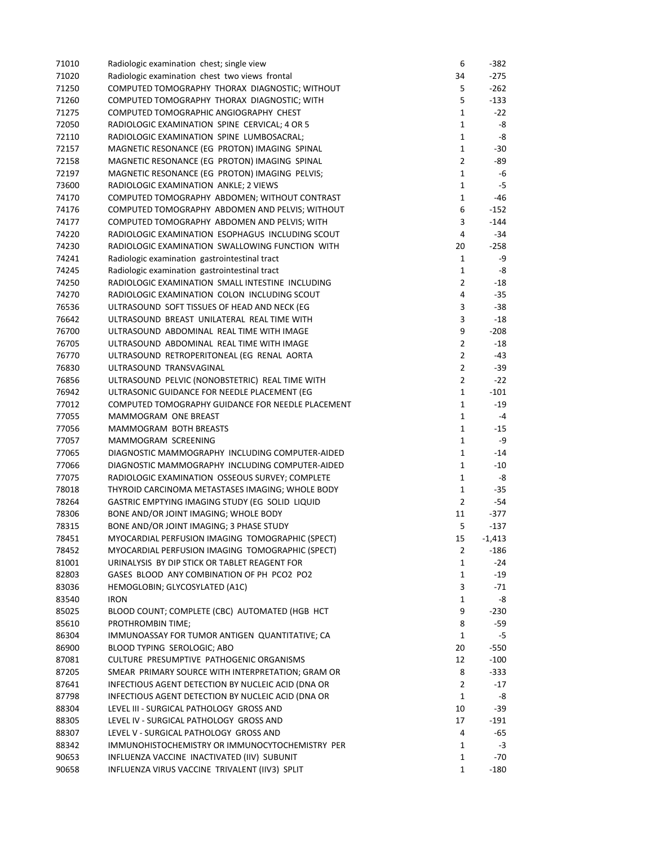| 71010 | Radiologic examination chest; single view          | 6              | -382     |
|-------|----------------------------------------------------|----------------|----------|
| 71020 | Radiologic examination chest two views frontal     | 34             | $-275$   |
| 71250 | COMPUTED TOMOGRAPHY THORAX DIAGNOSTIC; WITHOUT     | 5              | -262     |
| 71260 | COMPUTED TOMOGRAPHY THORAX DIAGNOSTIC; WITH        | 5              | $-133$   |
| 71275 | COMPUTED TOMOGRAPHIC ANGIOGRAPHY CHEST             | $\mathbf{1}$   | -22      |
| 72050 | RADIOLOGIC EXAMINATION SPINE CERVICAL; 4 OR 5      | $\mathbf{1}$   | -8       |
| 72110 | RADIOLOGIC EXAMINATION SPINE LUMBOSACRAL;          | 1              | -8       |
| 72157 | MAGNETIC RESONANCE (EG PROTON) IMAGING SPINAL      | 1              | -30      |
| 72158 | MAGNETIC RESONANCE (EG PROTON) IMAGING SPINAL      | $\overline{2}$ | -89      |
| 72197 | MAGNETIC RESONANCE (EG PROTON) IMAGING PELVIS;     | $\mathbf{1}$   | -6       |
| 73600 | RADIOLOGIC EXAMINATION ANKLE; 2 VIEWS              | $\mathbf 1$    | -5       |
| 74170 | COMPUTED TOMOGRAPHY ABDOMEN; WITHOUT CONTRAST      | 1              | -46      |
| 74176 | COMPUTED TOMOGRAPHY ABDOMEN AND PELVIS; WITHOUT    | 6              | -152     |
| 74177 | COMPUTED TOMOGRAPHY ABDOMEN AND PELVIS; WITH       | 3              | $-144$   |
| 74220 | RADIOLOGIC EXAMINATION ESOPHAGUS INCLUDING SCOUT   | 4              | -34      |
| 74230 | RADIOLOGIC EXAMINATION SWALLOWING FUNCTION WITH    | 20             | -258     |
| 74241 | Radiologic examination gastrointestinal tract      | $\mathbf{1}$   | -9       |
| 74245 | Radiologic examination gastrointestinal tract      | 1              | -8       |
| 74250 | RADIOLOGIC EXAMINATION SMALL INTESTINE INCLUDING   | $\overline{2}$ | -18      |
| 74270 | RADIOLOGIC EXAMINATION COLON INCLUDING SCOUT       | 4              | -35      |
| 76536 | ULTRASOUND SOFT TISSUES OF HEAD AND NECK (EG       | 3              | -38      |
| 76642 | ULTRASOUND BREAST UNILATERAL REAL TIME WITH        | 3              | -18      |
| 76700 | ULTRASOUND ABDOMINAL REAL TIME WITH IMAGE          | 9              | -208     |
| 76705 | ULTRASOUND ABDOMINAL REAL TIME WITH IMAGE          | $\overline{2}$ | -18      |
| 76770 | ULTRASOUND RETROPERITONEAL (EG RENAL AORTA         | $\overline{2}$ | -43      |
| 76830 | ULTRASOUND TRANSVAGINAL                            | $\overline{2}$ | -39      |
|       |                                                    |                |          |
| 76856 | ULTRASOUND PELVIC (NONOBSTETRIC) REAL TIME WITH    | $\overline{2}$ | $-22$    |
| 76942 | ULTRASONIC GUIDANCE FOR NEEDLE PLACEMENT (EG       | 1              | -101     |
| 77012 | COMPUTED TOMOGRAPHY GUIDANCE FOR NEEDLE PLACEMENT  | $\mathbf{1}$   | $-19$    |
| 77055 | MAMMOGRAM ONE BREAST                               | $\mathbf{1}$   | -4       |
| 77056 | MAMMOGRAM BOTH BREASTS                             | $\mathbf 1$    | -15      |
| 77057 | MAMMOGRAM SCREENING                                | $\mathbf{1}$   | -9       |
| 77065 | DIAGNOSTIC MAMMOGRAPHY INCLUDING COMPUTER-AIDED    | 1              | -14      |
| 77066 | DIAGNOSTIC MAMMOGRAPHY INCLUDING COMPUTER-AIDED    | 1              | -10      |
| 77075 | RADIOLOGIC EXAMINATION OSSEOUS SURVEY; COMPLETE    | $\mathbf{1}$   | -8       |
| 78018 | THYROID CARCINOMA METASTASES IMAGING; WHOLE BODY   | 1              | -35      |
| 78264 | GASTRIC EMPTYING IMAGING STUDY (EG SOLID LIQUID    | $\overline{2}$ | -54      |
| 78306 | BONE AND/OR JOINT IMAGING; WHOLE BODY              | 11             | -377     |
| 78315 | BONE AND/OR JOINT IMAGING; 3 PHASE STUDY           | 5              | -137     |
| 78451 | MYOCARDIAL PERFUSION IMAGING TOMOGRAPHIC (SPECT)   | 15             | $-1,413$ |
| 78452 | MYOCARDIAL PERFUSION IMAGING TOMOGRAPHIC (SPECT)   | 2              | -186     |
| 81001 | URINALYSIS BY DIP STICK OR TABLET REAGENT FOR      | $\mathbf{1}$   | -24      |
| 82803 | GASES BLOOD ANY COMBINATION OF PH PCO2 PO2         | $\mathbf{1}$   | -19      |
| 83036 | HEMOGLOBIN; GLYCOSYLATED (A1C)                     | 3              | -71      |
| 83540 | <b>IRON</b>                                        | 1              | -8       |
| 85025 | BLOOD COUNT; COMPLETE (CBC) AUTOMATED (HGB HCT     | 9              | -230     |
| 85610 | PROTHROMBIN TIME;                                  | 8              | -59      |
| 86304 | IMMUNOASSAY FOR TUMOR ANTIGEN QUANTITATIVE; CA     | $\mathbf{1}$   | -5       |
| 86900 | BLOOD TYPING SEROLOGIC; ABO                        | 20             | $-550$   |
| 87081 | CULTURE PRESUMPTIVE PATHOGENIC ORGANISMS           | 12             | $-100$   |
| 87205 | SMEAR PRIMARY SOURCE WITH INTERPRETATION; GRAM OR  | 8              | $-333$   |
| 87641 | INFECTIOUS AGENT DETECTION BY NUCLEIC ACID (DNA OR | $\overline{2}$ | -17      |
| 87798 | INFECTIOUS AGENT DETECTION BY NUCLEIC ACID (DNA OR | $\mathbf{1}$   | -8       |
| 88304 | LEVEL III - SURGICAL PATHOLOGY GROSS AND           | 10             | -39      |
| 88305 | LEVEL IV - SURGICAL PATHOLOGY GROSS AND            | 17             | -191     |
| 88307 | LEVEL V - SURGICAL PATHOLOGY GROSS AND             | 4              | -65      |
| 88342 | IMMUNOHISTOCHEMISTRY OR IMMUNOCYTOCHEMISTRY PER    | 1              | -3       |
| 90653 | INFLUENZA VACCINE INACTIVATED (IIV) SUBUNIT        | $\mathbf{1}$   | -70      |
| 90658 | INFLUENZA VIRUS VACCINE TRIVALENT (IIV3) SPLIT     | 1              | $-180$   |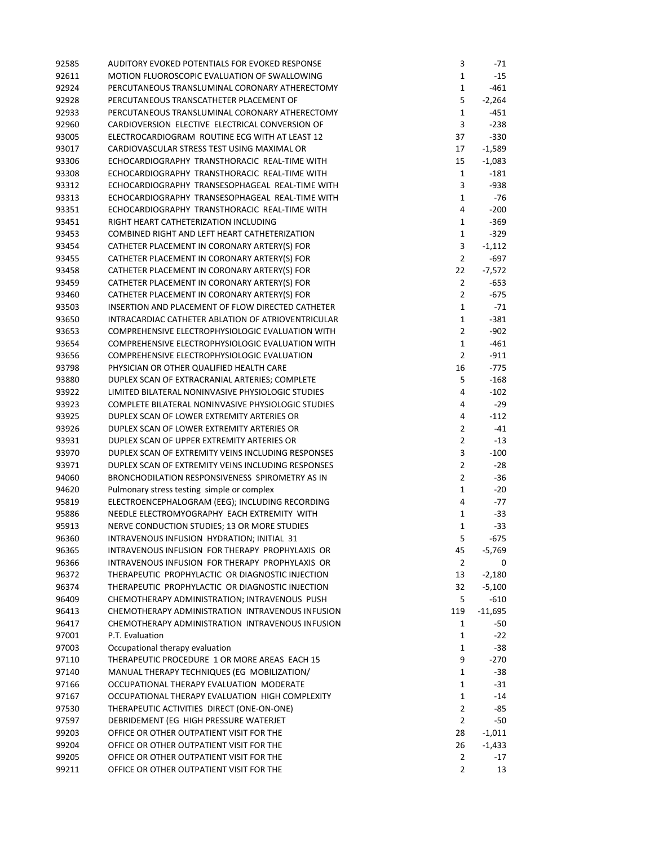| 92585 | AUDITORY EVOKED POTENTIALS FOR EVOKED RESPONSE     | 3              | -71       |
|-------|----------------------------------------------------|----------------|-----------|
| 92611 | MOTION FLUOROSCOPIC EVALUATION OF SWALLOWING       | $\mathbf{1}$   | -15       |
| 92924 | PERCUTANEOUS TRANSLUMINAL CORONARY ATHERECTOMY     | $\mathbf{1}$   | $-461$    |
| 92928 | PERCUTANEOUS TRANSCATHETER PLACEMENT OF            | 5              | $-2,264$  |
| 92933 | PERCUTANEOUS TRANSLUMINAL CORONARY ATHERECTOMY     | $\mathbf{1}$   | -451      |
| 92960 | CARDIOVERSION ELECTIVE ELECTRICAL CONVERSION OF    | 3              | $-238$    |
| 93005 | ELECTROCARDIOGRAM ROUTINE ECG WITH AT LEAST 12     | 37             | $-330$    |
| 93017 | CARDIOVASCULAR STRESS TEST USING MAXIMAL OR        | 17             | $-1,589$  |
| 93306 | ECHOCARDIOGRAPHY TRANSTHORACIC REAL-TIME WITH      | 15             | $-1,083$  |
| 93308 | ECHOCARDIOGRAPHY TRANSTHORACIC REAL-TIME WITH      | $\mathbf{1}$   | $-181$    |
| 93312 | ECHOCARDIOGRAPHY TRANSESOPHAGEAL REAL-TIME WITH    | 3              | -938      |
|       | ECHOCARDIOGRAPHY TRANSESOPHAGEAL REAL-TIME WITH    | $\mathbf{1}$   | -76       |
| 93313 |                                                    | 4              |           |
| 93351 | ECHOCARDIOGRAPHY TRANSTHORACIC REAL-TIME WITH      |                | $-200$    |
| 93451 | RIGHT HEART CATHETERIZATION INCLUDING              | $\mathbf{1}$   | $-369$    |
| 93453 | COMBINED RIGHT AND LEFT HEART CATHETERIZATION      | $\mathbf{1}$   | $-329$    |
| 93454 | CATHETER PLACEMENT IN CORONARY ARTERY(S) FOR       | 3              | $-1,112$  |
| 93455 | CATHETER PLACEMENT IN CORONARY ARTERY(S) FOR       | $\overline{2}$ | $-697$    |
| 93458 | CATHETER PLACEMENT IN CORONARY ARTERY(S) FOR       | 22             | $-7,572$  |
| 93459 | CATHETER PLACEMENT IN CORONARY ARTERY(S) FOR       | $\overline{2}$ | $-653$    |
| 93460 | CATHETER PLACEMENT IN CORONARY ARTERY(S) FOR       | $\overline{2}$ | -675      |
| 93503 | INSERTION AND PLACEMENT OF FLOW DIRECTED CATHETER  | $\mathbf{1}$   | -71       |
| 93650 | INTRACARDIAC CATHETER ABLATION OF ATRIOVENTRICULAR | $\mathbf{1}$   | $-381$    |
| 93653 | COMPREHENSIVE ELECTROPHYSIOLOGIC EVALUATION WITH   | $\overline{2}$ | $-902$    |
| 93654 | COMPREHENSIVE ELECTROPHYSIOLOGIC EVALUATION WITH   | $\mathbf{1}$   | $-461$    |
| 93656 | COMPREHENSIVE ELECTROPHYSIOLOGIC EVALUATION        | $\overline{2}$ | $-911$    |
| 93798 | PHYSICIAN OR OTHER QUALIFIED HEALTH CARE           | 16             | $-775$    |
| 93880 | DUPLEX SCAN OF EXTRACRANIAL ARTERIES; COMPLETE     | 5              | $-168$    |
| 93922 | LIMITED BILATERAL NONINVASIVE PHYSIOLOGIC STUDIES  | 4              | $-102$    |
| 93923 | COMPLETE BILATERAL NONINVASIVE PHYSIOLOGIC STUDIES | 4              | -29       |
| 93925 | DUPLEX SCAN OF LOWER EXTREMITY ARTERIES OR         | 4              | -112      |
| 93926 | DUPLEX SCAN OF LOWER EXTREMITY ARTERIES OR         | $\overline{2}$ | -41       |
| 93931 | DUPLEX SCAN OF UPPER EXTREMITY ARTERIES OR         | $\overline{2}$ | -13       |
| 93970 | DUPLEX SCAN OF EXTREMITY VEINS INCLUDING RESPONSES | 3              | -100      |
| 93971 | DUPLEX SCAN OF EXTREMITY VEINS INCLUDING RESPONSES | $\mathbf{2}$   | -28       |
| 94060 | BRONCHODILATION RESPONSIVENESS SPIROMETRY AS IN    | $\overline{2}$ | -36       |
| 94620 | Pulmonary stress testing simple or complex         | 1              | -20       |
| 95819 | ELECTROENCEPHALOGRAM (EEG); INCLUDING RECORDING    | 4              | -77       |
| 95886 | NEEDLE ELECTROMYOGRAPHY EACH EXTREMITY WITH        | $\mathbf{1}$   | -33       |
|       |                                                    |                |           |
| 95913 | NERVE CONDUCTION STUDIES; 13 OR MORE STUDIES       | $\mathbf{1}$   | -33       |
| 96360 | INTRAVENOUS INFUSION HYDRATION; INITIAL 31         | 5              | $-675$    |
| 96365 | INTRAVENOUS INFUSION FOR THERAPY PROPHYLAXIS OR    | 45             | -5,769    |
| 96366 | INTRAVENOUS INFUSION FOR THERAPY PROPHYLAXIS OR    | 2              | 0         |
| 96372 | THERAPEUTIC PROPHYLACTIC OR DIAGNOSTIC INJECTION   | 13             | $-2,180$  |
| 96374 | THERAPEUTIC PROPHYLACTIC OR DIAGNOSTIC INJECTION   | 32             | $-5,100$  |
| 96409 | CHEMOTHERAPY ADMINISTRATION; INTRAVENOUS PUSH      | 5              | $-610$    |
| 96413 | CHEMOTHERAPY ADMINISTRATION INTRAVENOUS INFUSION   | 119            | $-11,695$ |
| 96417 | CHEMOTHERAPY ADMINISTRATION INTRAVENOUS INFUSION   | $\mathbf{1}$   | -50       |
| 97001 | P.T. Evaluation                                    | $\mathbf{1}$   | -22       |
| 97003 | Occupational therapy evaluation                    | $\mathbf{1}$   | -38       |
| 97110 | THERAPEUTIC PROCEDURE 1 OR MORE AREAS EACH 15      | 9              | $-270$    |
| 97140 | MANUAL THERAPY TECHNIQUES (EG MOBILIZATION/        | $\mathbf{1}$   | -38       |
| 97166 | OCCUPATIONAL THERAPY EVALUATION MODERATE           | $\mathbf{1}$   | -31       |
| 97167 | OCCUPATIONAL THERAPY EVALUATION HIGH COMPLEXITY    | $\mathbf{1}$   | -14       |
| 97530 | THERAPEUTIC ACTIVITIES DIRECT (ONE-ON-ONE)         | $\overline{2}$ | -85       |
| 97597 | DEBRIDEMENT (EG HIGH PRESSURE WATERJET             | $\overline{2}$ | -50       |
| 99203 | OFFICE OR OTHER OUTPATIENT VISIT FOR THE           | 28             | $-1,011$  |
| 99204 | OFFICE OR OTHER OUTPATIENT VISIT FOR THE           | 26             | $-1,433$  |
| 99205 | OFFICE OR OTHER OUTPATIENT VISIT FOR THE           | $\overline{2}$ | -17       |
| 99211 | OFFICE OR OTHER OUTPATIENT VISIT FOR THE           | $\overline{2}$ | 13        |